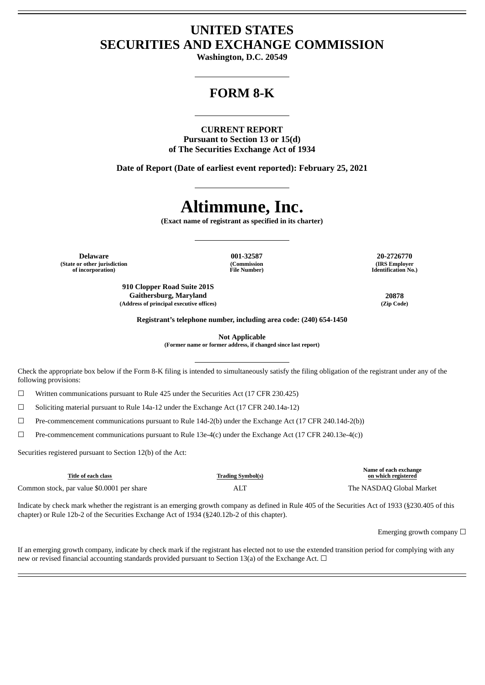# **UNITED STATES SECURITIES AND EXCHANGE COMMISSION**

**Washington, D.C. 20549**

# **FORM 8-K**

**CURRENT REPORT Pursuant to Section 13 or 15(d) of The Securities Exchange Act of 1934**

**Date of Report (Date of earliest event reported): February 25, 2021**

# **Altimmune, Inc.**

**(Exact name of registrant as specified in its charter)**

**Delaware 001-32587 20-2726770 (State or other jurisdiction of incorporation)**

**(Commission File Number)**

**910 Clopper Road Suite 201S Gaithersburg, Maryland 20878 (Address of principal executive offices) (Zip Code)**

**(IRS Employer Identification No.)**

**Registrant's telephone number, including area code: (240) 654-1450**

**Not Applicable (Former name or former address, if changed since last report)**

Check the appropriate box below if the Form 8-K filing is intended to simultaneously satisfy the filing obligation of the registrant under any of the following provisions:

☐ Written communications pursuant to Rule 425 under the Securities Act (17 CFR 230.425)

☐ Soliciting material pursuant to Rule 14a-12 under the Exchange Act (17 CFR 240.14a-12)

☐ Pre-commencement communications pursuant to Rule 14d-2(b) under the Exchange Act (17 CFR 240.14d-2(b))

 $\Box$  Pre-commencement communications pursuant to Rule 13e-4(c) under the Exchange Act (17 CFR 240.13e-4(c))

Securities registered pursuant to Section 12(b) of the Act:

| Title of each class                        | <b>Trading Symbol(s)</b> | Name of each exchange<br>on which registered |
|--------------------------------------------|--------------------------|----------------------------------------------|
| Common stock, par value \$0.0001 per share | ALT                      | The NASDAO Global Market                     |

Indicate by check mark whether the registrant is an emerging growth company as defined in Rule 405 of the Securities Act of 1933 (§230.405 of this chapter) or Rule 12b-2 of the Securities Exchange Act of 1934 (§240.12b-2 of this chapter).

Emerging growth company  $\Box$ 

If an emerging growth company, indicate by check mark if the registrant has elected not to use the extended transition period for complying with any new or revised financial accounting standards provided pursuant to Section 13(a) of the Exchange Act.  $\Box$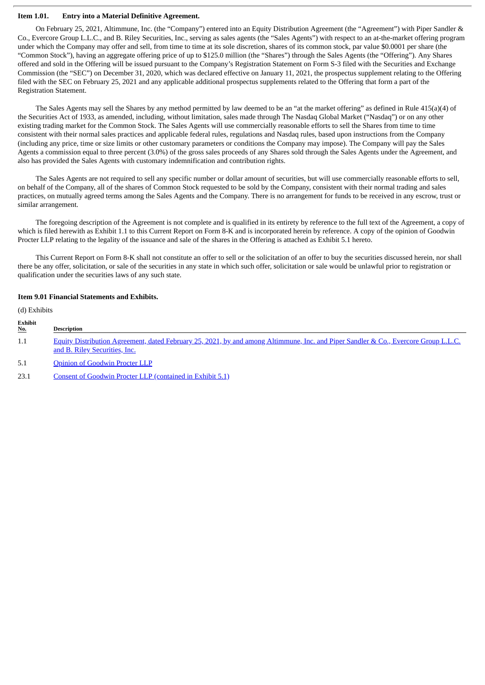# **Item 1.01. Entry into a Material Definitive Agreement.**

On February 25, 2021, Altimmune, Inc. (the "Company") entered into an Equity Distribution Agreement (the "Agreement") with Piper Sandler & Co., Evercore Group L.L.C., and B. Riley Securities, Inc., serving as sales agents (the "Sales Agents") with respect to an at-the-market offering program under which the Company may offer and sell, from time to time at its sole discretion, shares of its common stock, par value \$0.0001 per share (the "Common Stock"), having an aggregate offering price of up to \$125.0 million (the "Shares") through the Sales Agents (the "Offering"). Any Shares offered and sold in the Offering will be issued pursuant to the Company's Registration Statement on Form S-3 filed with the Securities and Exchange Commission (the "SEC") on December 31, 2020, which was declared effective on January 11, 2021, the prospectus supplement relating to the Offering filed with the SEC on February 25, 2021 and any applicable additional prospectus supplements related to the Offering that form a part of the Registration Statement.

The Sales Agents may sell the Shares by any method permitted by law deemed to be an "at the market offering" as defined in Rule 415(a)(4) of the Securities Act of 1933, as amended, including, without limitation, sales made through The Nasdaq Global Market ("Nasdaq") or on any other existing trading market for the Common Stock. The Sales Agents will use commercially reasonable efforts to sell the Shares from time to time consistent with their normal sales practices and applicable federal rules, regulations and Nasdaq rules, based upon instructions from the Company (including any price, time or size limits or other customary parameters or conditions the Company may impose). The Company will pay the Sales Agents a commission equal to three percent (3.0%) of the gross sales proceeds of any Shares sold through the Sales Agents under the Agreement, and also has provided the Sales Agents with customary indemnification and contribution rights.

The Sales Agents are not required to sell any specific number or dollar amount of securities, but will use commercially reasonable efforts to sell, on behalf of the Company, all of the shares of Common Stock requested to be sold by the Company, consistent with their normal trading and sales practices, on mutually agreed terms among the Sales Agents and the Company. There is no arrangement for funds to be received in any escrow, trust or similar arrangement.

The foregoing description of the Agreement is not complete and is qualified in its entirety by reference to the full text of the Agreement, a copy of which is filed herewith as Exhibit 1.1 to this Current Report on Form 8-K and is incorporated herein by reference. A copy of the opinion of Goodwin Procter LLP relating to the legality of the issuance and sale of the shares in the Offering is attached as Exhibit 5.1 hereto.

This Current Report on Form 8-K shall not constitute an offer to sell or the solicitation of an offer to buy the securities discussed herein, nor shall there be any offer, solicitation, or sale of the securities in any state in which such offer, solicitation or sale would be unlawful prior to registration or qualification under the securities laws of any such state.

## **Item 9.01 Financial Statements and Exhibits.**

| (d) Exhibits          |                                                                                                                                                                      |
|-----------------------|----------------------------------------------------------------------------------------------------------------------------------------------------------------------|
| Exhibit<br><u>No.</u> | <b>Description</b>                                                                                                                                                   |
| $1.1\,$               | Equity Distribution Agreement, dated February 25, 2021, by and among Altimmune, Inc. and Piper Sandler & Co., Evercore Group L.L.C.<br>and B. Riley Securities, Inc. |
| 5.1                   | <b>Opinion of Goodwin Procter LLP</b>                                                                                                                                |
| 23.1                  | <b>Consent of Goodwin Procter LLP (contained in Exhibit 5.1)</b>                                                                                                     |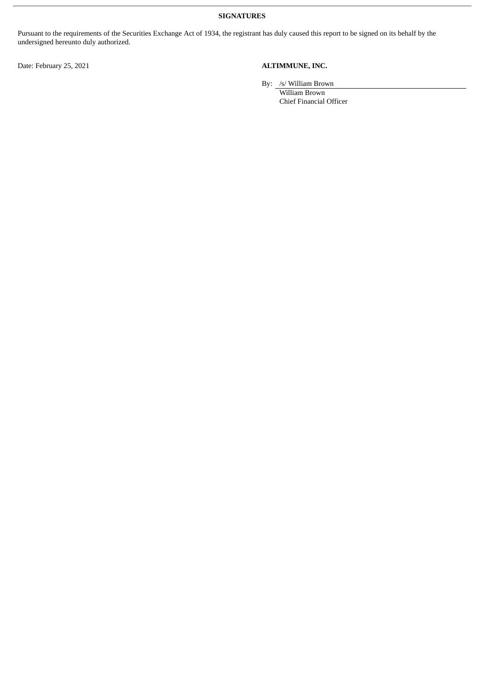**SIGNATURES**

Pursuant to the requirements of the Securities Exchange Act of 1934, the registrant has duly caused this report to be signed on its behalf by the undersigned hereunto duly authorized.

Date: February 25, 2021 **ALTIMMUNE, INC.**

By: /s/ William Brown

William Brown Chief Financial Officer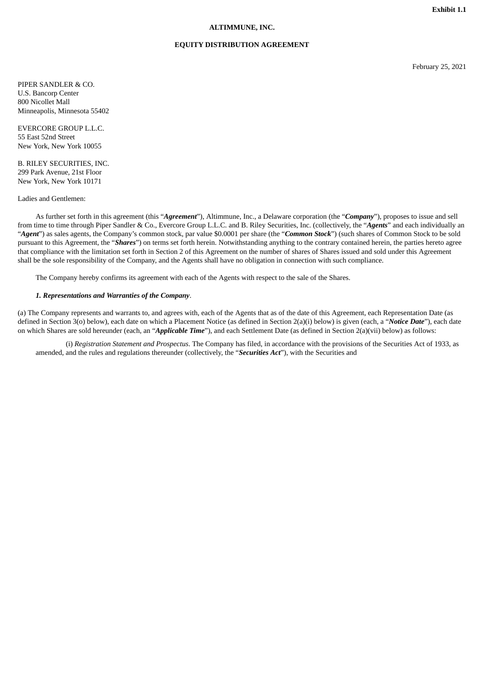# **ALTIMMUNE, INC.**

### **EQUITY DISTRIBUTION AGREEMENT**

February 25, 2021

<span id="page-3-0"></span>PIPER SANDLER & CO. U.S. Bancorp Center 800 Nicollet Mall Minneapolis, Minnesota 55402

EVERCORE GROUP L.L.C. 55 East 52nd Street New York, New York 10055

B. RILEY SECURITIES, INC. 299 Park Avenue, 21st Floor New York, New York 10171

Ladies and Gentlemen:

As further set forth in this agreement (this "*Agreement*"), Altimmune, Inc., a Delaware corporation (the "*Company*"), proposes to issue and sell from time to time through Piper Sandler & Co., Evercore Group L.L.C. and B. Riley Securities, Inc. (collectively, the "*Agents*" and each individually an "*Agent*") as sales agents, the Company's common stock, par value \$0.0001 per share (the "*Common Stock*") (such shares of Common Stock to be sold pursuant to this Agreement, the "*Shares*") on terms set forth herein. Notwithstanding anything to the contrary contained herein, the parties hereto agree that compliance with the limitation set forth in Section 2 of this Agreement on the number of shares of Shares issued and sold under this Agreement shall be the sole responsibility of the Company, and the Agents shall have no obligation in connection with such compliance.

The Company hereby confirms its agreement with each of the Agents with respect to the sale of the Shares.

#### *1. Representations and Warranties of the Company*.

(a) The Company represents and warrants to, and agrees with, each of the Agents that as of the date of this Agreement, each Representation Date (as defined in Section 3(o) below), each date on which a Placement Notice (as defined in Section 2(a)(i) below) is given (each, a "*Notice Date*"), each date on which Shares are sold hereunder (each, an "*Applicable Time*"), and each Settlement Date (as defined in Section 2(a)(vii) below) as follows:

(i) *Registration Statement and Prospectus*. The Company has filed, in accordance with the provisions of the Securities Act of 1933, as amended, and the rules and regulations thereunder (collectively, the "*Securities Act*"), with the Securities and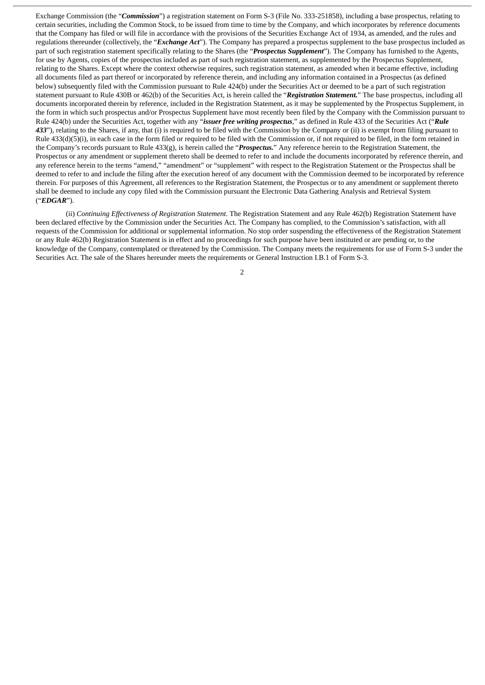Exchange Commission (the "*Commission*") a registration statement on Form S-3 (File No. 333-251858), including a base prospectus, relating to certain securities, including the Common Stock, to be issued from time to time by the Company, and which incorporates by reference documents that the Company has filed or will file in accordance with the provisions of the Securities Exchange Act of 1934, as amended, and the rules and regulations thereunder (collectively, the "*Exchange Act*"). The Company has prepared a prospectus supplement to the base prospectus included as part of such registration statement specifically relating to the Shares (the "*Prospectus Supplement*"). The Company has furnished to the Agents, for use by Agents, copies of the prospectus included as part of such registration statement, as supplemented by the Prospectus Supplement, relating to the Shares. Except where the context otherwise requires, such registration statement, as amended when it became effective, including all documents filed as part thereof or incorporated by reference therein, and including any information contained in a Prospectus (as defined below) subsequently filed with the Commission pursuant to Rule 424(b) under the Securities Act or deemed to be a part of such registration statement pursuant to Rule 430B or 462(b) of the Securities Act, is herein called the "*Registration Statement.*" The base prospectus, including all documents incorporated therein by reference, included in the Registration Statement, as it may be supplemented by the Prospectus Supplement, in the form in which such prospectus and/or Prospectus Supplement have most recently been filed by the Company with the Commission pursuant to Rule 424(b) under the Securities Act, together with any "*issuer free writing prospectus*," as defined in Rule 433 of the Securities Act ("*Rule 433*"), relating to the Shares, if any, that (i) is required to be filed with the Commission by the Company or (ii) is exempt from filing pursuant to Rule 433(d)(5)(i), in each case in the form filed or required to be filed with the Commission or, if not required to be filed, in the form retained in the Company's records pursuant to Rule 433(g), is herein called the "*Prospectus.*" Any reference herein to the Registration Statement, the Prospectus or any amendment or supplement thereto shall be deemed to refer to and include the documents incorporated by reference therein, and any reference herein to the terms "amend," "amendment" or "supplement" with respect to the Registration Statement or the Prospectus shall be deemed to refer to and include the filing after the execution hereof of any document with the Commission deemed to be incorporated by reference therein. For purposes of this Agreement, all references to the Registration Statement, the Prospectus or to any amendment or supplement thereto shall be deemed to include any copy filed with the Commission pursuant the Electronic Data Gathering Analysis and Retrieval System ("*EDGAR*").

(ii) *Continuing Effectiveness of Registration Statement*. The Registration Statement and any Rule 462(b) Registration Statement have been declared effective by the Commission under the Securities Act. The Company has complied, to the Commission's satisfaction, with all requests of the Commission for additional or supplemental information. No stop order suspending the effectiveness of the Registration Statement or any Rule 462(b) Registration Statement is in effect and no proceedings for such purpose have been instituted or are pending or, to the knowledge of the Company, contemplated or threatened by the Commission. The Company meets the requirements for use of Form S-3 under the Securities Act. The sale of the Shares hereunder meets the requirements or General Instruction I.B.1 of Form S-3.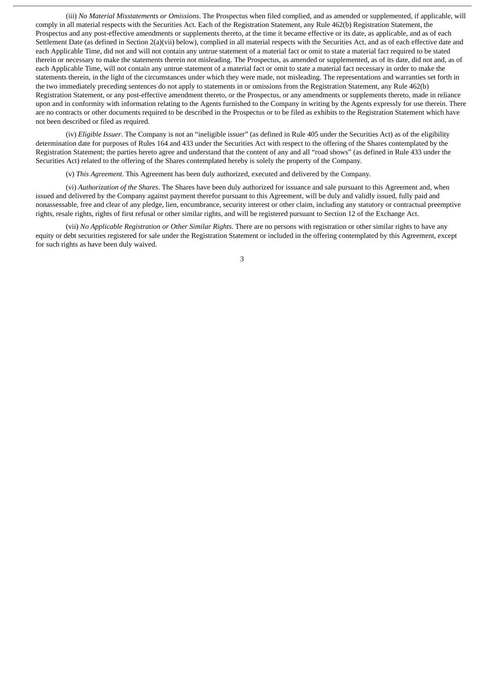(iii) *No Material Misstatements or Omissions*. The Prospectus when filed complied, and as amended or supplemented, if applicable, will comply in all material respects with the Securities Act. Each of the Registration Statement, any Rule 462(b) Registration Statement, the Prospectus and any post-effective amendments or supplements thereto, at the time it became effective or its date, as applicable, and as of each Settlement Date (as defined in Section 2(a)(vii) below), complied in all material respects with the Securities Act, and as of each effective date and each Applicable Time, did not and will not contain any untrue statement of a material fact or omit to state a material fact required to be stated therein or necessary to make the statements therein not misleading. The Prospectus, as amended or supplemented, as of its date, did not and, as of each Applicable Time, will not contain any untrue statement of a material fact or omit to state a material fact necessary in order to make the statements therein, in the light of the circumstances under which they were made, not misleading. The representations and warranties set forth in the two immediately preceding sentences do not apply to statements in or omissions from the Registration Statement, any Rule 462(b) Registration Statement, or any post-effective amendment thereto, or the Prospectus, or any amendments or supplements thereto, made in reliance upon and in conformity with information relating to the Agents furnished to the Company in writing by the Agents expressly for use therein. There are no contracts or other documents required to be described in the Prospectus or to be filed as exhibits to the Registration Statement which have not been described or filed as required.

(iv) *Eligible Issuer*. The Company is not an "ineligible issuer" (as defined in Rule 405 under the Securities Act) as of the eligibility determination date for purposes of Rules 164 and 433 under the Securities Act with respect to the offering of the Shares contemplated by the Registration Statement; the parties hereto agree and understand that the content of any and all "road shows" (as defined in Rule 433 under the Securities Act) related to the offering of the Shares contemplated hereby is solely the property of the Company.

(v) *This Agreement*. This Agreement has been duly authorized, executed and delivered by the Company.

(vi) *Authorization of the Shares*. The Shares have been duly authorized for issuance and sale pursuant to this Agreement and, when issued and delivered by the Company against payment therefor pursuant to this Agreement, will be duly and validly issued, fully paid and nonassessable, free and clear of any pledge, lien, encumbrance, security interest or other claim, including any statutory or contractual preemptive rights, resale rights, rights of first refusal or other similar rights, and will be registered pursuant to Section 12 of the Exchange Act.

(vii) *No Applicable Registration or Other Similar Rights*. There are no persons with registration or other similar rights to have any equity or debt securities registered for sale under the Registration Statement or included in the offering contemplated by this Agreement, except for such rights as have been duly waived.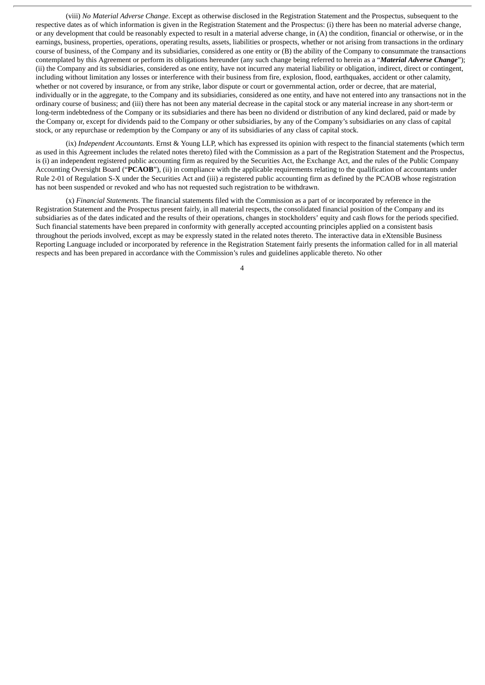(viii) *No Material Adverse Change*. Except as otherwise disclosed in the Registration Statement and the Prospectus, subsequent to the respective dates as of which information is given in the Registration Statement and the Prospectus: (i) there has been no material adverse change, or any development that could be reasonably expected to result in a material adverse change, in (A) the condition, financial or otherwise, or in the earnings, business, properties, operations, operating results, assets, liabilities or prospects, whether or not arising from transactions in the ordinary course of business, of the Company and its subsidiaries, considered as one entity or (B) the ability of the Company to consummate the transactions contemplated by this Agreement or perform its obligations hereunder (any such change being referred to herein as a "*Material Adverse Change*"); (ii) the Company and its subsidiaries, considered as one entity, have not incurred any material liability or obligation, indirect, direct or contingent, including without limitation any losses or interference with their business from fire, explosion, flood, earthquakes, accident or other calamity, whether or not covered by insurance, or from any strike, labor dispute or court or governmental action, order or decree, that are material, individually or in the aggregate, to the Company and its subsidiaries, considered as one entity, and have not entered into any transactions not in the ordinary course of business; and (iii) there has not been any material decrease in the capital stock or any material increase in any short-term or long-term indebtedness of the Company or its subsidiaries and there has been no dividend or distribution of any kind declared, paid or made by the Company or, except for dividends paid to the Company or other subsidiaries, by any of the Company's subsidiaries on any class of capital stock, or any repurchase or redemption by the Company or any of its subsidiaries of any class of capital stock.

(ix) *Independent Accountants*. Ernst & Young LLP, which has expressed its opinion with respect to the financial statements (which term as used in this Agreement includes the related notes thereto) filed with the Commission as a part of the Registration Statement and the Prospectus, is (i) an independent registered public accounting firm as required by the Securities Act, the Exchange Act, and the rules of the Public Company Accounting Oversight Board ("**PCAOB**"), (ii) in compliance with the applicable requirements relating to the qualification of accountants under Rule 2-01 of Regulation S-X under the Securities Act and (iii) a registered public accounting firm as defined by the PCAOB whose registration has not been suspended or revoked and who has not requested such registration to be withdrawn.

(x) *Financial Statements*. The financial statements filed with the Commission as a part of or incorporated by reference in the Registration Statement and the Prospectus present fairly, in all material respects, the consolidated financial position of the Company and its subsidiaries as of the dates indicated and the results of their operations, changes in stockholders' equity and cash flows for the periods specified. Such financial statements have been prepared in conformity with generally accepted accounting principles applied on a consistent basis throughout the periods involved, except as may be expressly stated in the related notes thereto. The interactive data in eXtensible Business Reporting Language included or incorporated by reference in the Registration Statement fairly presents the information called for in all material respects and has been prepared in accordance with the Commission's rules and guidelines applicable thereto. No other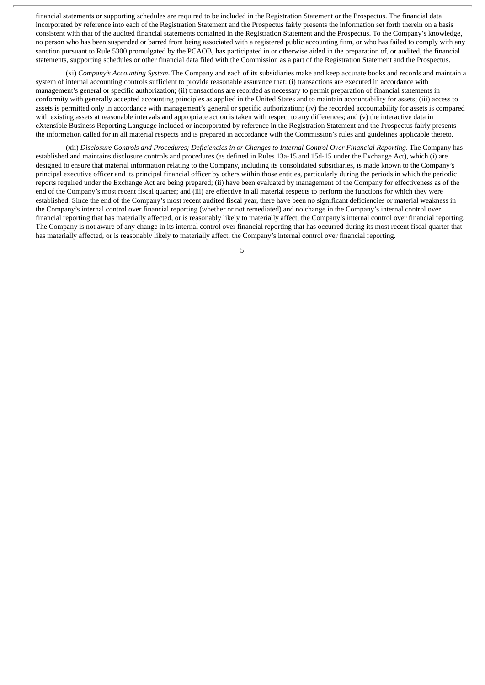financial statements or supporting schedules are required to be included in the Registration Statement or the Prospectus. The financial data incorporated by reference into each of the Registration Statement and the Prospectus fairly presents the information set forth therein on a basis consistent with that of the audited financial statements contained in the Registration Statement and the Prospectus. To the Company's knowledge, no person who has been suspended or barred from being associated with a registered public accounting firm, or who has failed to comply with any sanction pursuant to Rule 5300 promulgated by the PCAOB, has participated in or otherwise aided in the preparation of, or audited, the financial statements, supporting schedules or other financial data filed with the Commission as a part of the Registration Statement and the Prospectus.

(xi) *Company's Accounting System*. The Company and each of its subsidiaries make and keep accurate books and records and maintain a system of internal accounting controls sufficient to provide reasonable assurance that: (i) transactions are executed in accordance with management's general or specific authorization; (ii) transactions are recorded as necessary to permit preparation of financial statements in conformity with generally accepted accounting principles as applied in the United States and to maintain accountability for assets; (iii) access to assets is permitted only in accordance with management's general or specific authorization; (iv) the recorded accountability for assets is compared with existing assets at reasonable intervals and appropriate action is taken with respect to any differences; and (v) the interactive data in eXtensible Business Reporting Language included or incorporated by reference in the Registration Statement and the Prospectus fairly presents the information called for in all material respects and is prepared in accordance with the Commission's rules and guidelines applicable thereto.

(xii) Disclosure Controls and Procedures; Deficiencies in or Changes to Internal Control Over Financial Reporting. The Company has established and maintains disclosure controls and procedures (as defined in Rules 13a-15 and 15d-15 under the Exchange Act), which (i) are designed to ensure that material information relating to the Company, including its consolidated subsidiaries, is made known to the Company's principal executive officer and its principal financial officer by others within those entities, particularly during the periods in which the periodic reports required under the Exchange Act are being prepared; (ii) have been evaluated by management of the Company for effectiveness as of the end of the Company's most recent fiscal quarter; and (iii) are effective in all material respects to perform the functions for which they were established. Since the end of the Company's most recent audited fiscal year, there have been no significant deficiencies or material weakness in the Company's internal control over financial reporting (whether or not remediated) and no change in the Company's internal control over financial reporting that has materially affected, or is reasonably likely to materially affect, the Company's internal control over financial reporting. The Company is not aware of any change in its internal control over financial reporting that has occurred during its most recent fiscal quarter that has materially affected, or is reasonably likely to materially affect, the Company's internal control over financial reporting.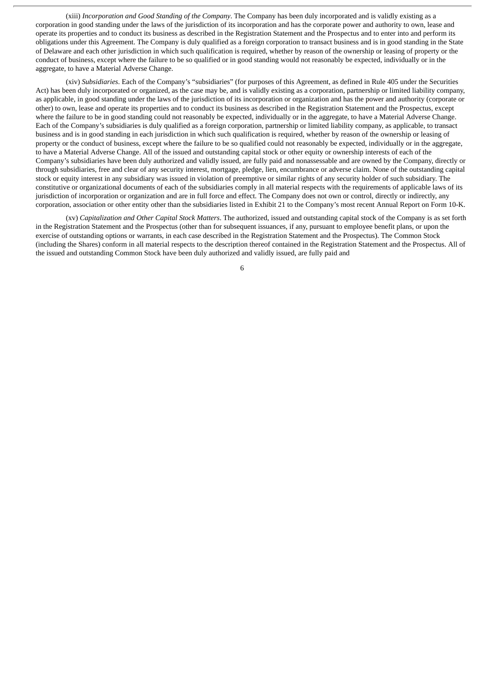(xiii) *Incorporation and Good Standing of the Company*. The Company has been duly incorporated and is validly existing as a corporation in good standing under the laws of the jurisdiction of its incorporation and has the corporate power and authority to own, lease and operate its properties and to conduct its business as described in the Registration Statement and the Prospectus and to enter into and perform its obligations under this Agreement. The Company is duly qualified as a foreign corporation to transact business and is in good standing in the State of Delaware and each other jurisdiction in which such qualification is required, whether by reason of the ownership or leasing of property or the conduct of business, except where the failure to be so qualified or in good standing would not reasonably be expected, individually or in the aggregate, to have a Material Adverse Change.

(xiv) *Subsidiaries*. Each of the Company's "subsidiaries" (for purposes of this Agreement, as defined in Rule 405 under the Securities Act) has been duly incorporated or organized, as the case may be, and is validly existing as a corporation, partnership or limited liability company, as applicable, in good standing under the laws of the jurisdiction of its incorporation or organization and has the power and authority (corporate or other) to own, lease and operate its properties and to conduct its business as described in the Registration Statement and the Prospectus, except where the failure to be in good standing could not reasonably be expected, individually or in the aggregate, to have a Material Adverse Change. Each of the Company's subsidiaries is duly qualified as a foreign corporation, partnership or limited liability company, as applicable, to transact business and is in good standing in each jurisdiction in which such qualification is required, whether by reason of the ownership or leasing of property or the conduct of business, except where the failure to be so qualified could not reasonably be expected, individually or in the aggregate, to have a Material Adverse Change. All of the issued and outstanding capital stock or other equity or ownership interests of each of the Company's subsidiaries have been duly authorized and validly issued, are fully paid and nonassessable and are owned by the Company, directly or through subsidiaries, free and clear of any security interest, mortgage, pledge, lien, encumbrance or adverse claim. None of the outstanding capital stock or equity interest in any subsidiary was issued in violation of preemptive or similar rights of any security holder of such subsidiary. The constitutive or organizational documents of each of the subsidiaries comply in all material respects with the requirements of applicable laws of its jurisdiction of incorporation or organization and are in full force and effect. The Company does not own or control, directly or indirectly, any corporation, association or other entity other than the subsidiaries listed in Exhibit 21 to the Company's most recent Annual Report on Form 10-K.

(xv) *Capitalization and Other Capital Stock Matters*. The authorized, issued and outstanding capital stock of the Company is as set forth in the Registration Statement and the Prospectus (other than for subsequent issuances, if any, pursuant to employee benefit plans, or upon the exercise of outstanding options or warrants, in each case described in the Registration Statement and the Prospectus). The Common Stock (including the Shares) conform in all material respects to the description thereof contained in the Registration Statement and the Prospectus. All of the issued and outstanding Common Stock have been duly authorized and validly issued, are fully paid and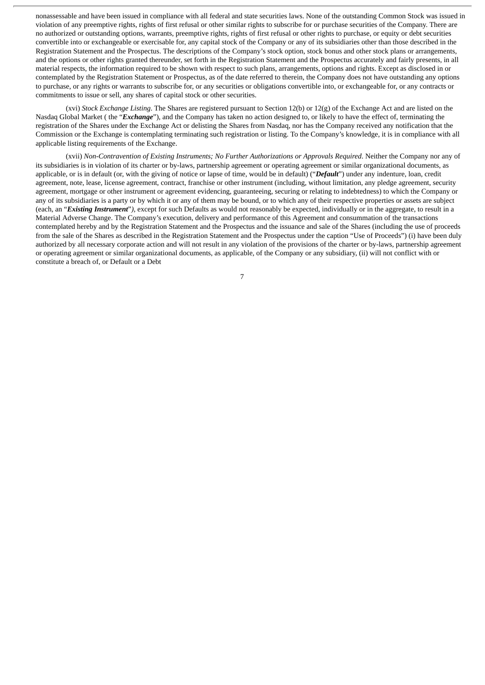nonassessable and have been issued in compliance with all federal and state securities laws. None of the outstanding Common Stock was issued in violation of any preemptive rights, rights of first refusal or other similar rights to subscribe for or purchase securities of the Company. There are no authorized or outstanding options, warrants, preemptive rights, rights of first refusal or other rights to purchase, or equity or debt securities convertible into or exchangeable or exercisable for, any capital stock of the Company or any of its subsidiaries other than those described in the Registration Statement and the Prospectus. The descriptions of the Company's stock option, stock bonus and other stock plans or arrangements, and the options or other rights granted thereunder, set forth in the Registration Statement and the Prospectus accurately and fairly presents, in all material respects, the information required to be shown with respect to such plans, arrangements, options and rights. Except as disclosed in or contemplated by the Registration Statement or Prospectus, as of the date referred to therein, the Company does not have outstanding any options to purchase, or any rights or warrants to subscribe for, or any securities or obligations convertible into, or exchangeable for, or any contracts or commitments to issue or sell, any shares of capital stock or other securities.

(xvi) *Stock Exchange Listing*. The Shares are registered pursuant to Section 12(b) or 12(g) of the Exchange Act and are listed on the Nasdaq Global Market ( the "*Exchange*"), and the Company has taken no action designed to, or likely to have the effect of, terminating the registration of the Shares under the Exchange Act or delisting the Shares from Nasdaq, nor has the Company received any notification that the Commission or the Exchange is contemplating terminating such registration or listing. To the Company's knowledge, it is in compliance with all applicable listing requirements of the Exchange.

(xvii) *Non-Contravention of Existing Instruments; No Further Authorizations or Approvals Required*. Neither the Company nor any of its subsidiaries is in violation of its charter or by-laws, partnership agreement or operating agreement or similar organizational documents, as applicable, or is in default (or, with the giving of notice or lapse of time, would be in default) ("*Default*") under any indenture, loan, credit agreement, note, lease, license agreement, contract, franchise or other instrument (including, without limitation, any pledge agreement, security agreement, mortgage or other instrument or agreement evidencing, guaranteeing, securing or relating to indebtedness) to which the Company or any of its subsidiaries is a party or by which it or any of them may be bound, or to which any of their respective properties or assets are subject (each, an "*Existing Instrument*"*),* except for such Defaults as would not reasonably be expected, individually or in the aggregate, to result in a Material Adverse Change. The Company's execution, delivery and performance of this Agreement and consummation of the transactions contemplated hereby and by the Registration Statement and the Prospectus and the issuance and sale of the Shares (including the use of proceeds from the sale of the Shares as described in the Registration Statement and the Prospectus under the caption "Use of Proceeds") (i) have been duly authorized by all necessary corporate action and will not result in any violation of the provisions of the charter or by-laws, partnership agreement or operating agreement or similar organizational documents, as applicable, of the Company or any subsidiary, (ii) will not conflict with or constitute a breach of, or Default or a Debt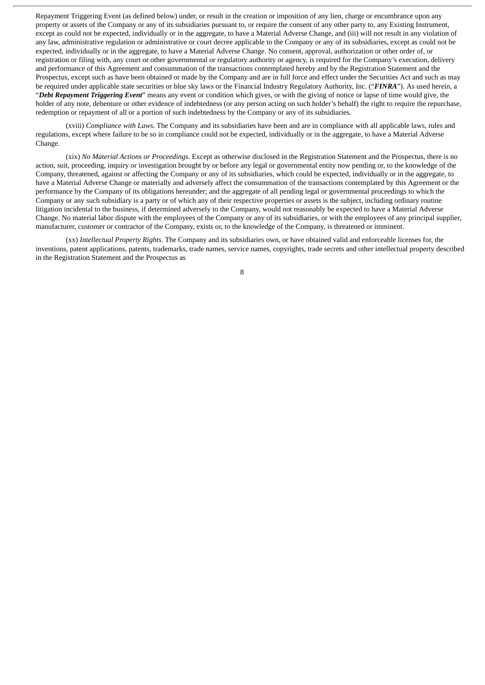Repayment Triggering Event (as defined below) under, or result in the creation or imposition of any lien, charge or encumbrance upon any property or assets of the Company or any of its subsidiaries pursuant to, or require the consent of any other party to, any Existing Instrument, except as could not be expected, individually or in the aggregate, to have a Material Adverse Change, and (iii) will not result in any violation of any law, administrative regulation or administrative or court decree applicable to the Company or any of its subsidiaries, except as could not be expected, individually or in the aggregate, to have a Material Adverse Change. No consent, approval, authorization or other order of, or registration or filing with, any court or other governmental or regulatory authority or agency, is required for the Company's execution, delivery and performance of this Agreement and consummation of the transactions contemplated hereby and by the Registration Statement and the Prospectus, except such as have been obtained or made by the Company and are in full force and effect under the Securities Act and such as may be required under applicable state securities or blue sky laws or the Financial Industry Regulatory Authority, Inc. ("*FINRA*"). As used herein, a "*Debt Repayment Triggering Event*" means any event or condition which gives, or with the giving of notice or lapse of time would give, the holder of any note, debenture or other evidence of indebtedness (or any person acting on such holder's behalf) the right to require the repurchase, redemption or repayment of all or a portion of such indebtedness by the Company or any of its subsidiaries.

(xviii) *Compliance with Laws.* The Company and its subsidiaries have been and are in compliance with all applicable laws, rules and regulations, except where failure to be so in compliance could not be expected, individually or in the aggregate, to have a Material Adverse Change.

(xix) *No Material Actions or Proceedings*. Except as otherwise disclosed in the Registration Statement and the Prospectus, there is no action, suit, proceeding, inquiry or investigation brought by or before any legal or governmental entity now pending or, to the knowledge of the Company, threatened, against or affecting the Company or any of its subsidiaries, which could be expected, individually or in the aggregate, to have a Material Adverse Change or materially and adversely affect the consummation of the transactions contemplated by this Agreement or the performance by the Company of its obligations hereunder; and the aggregate of all pending legal or governmental proceedings to which the Company or any such subsidiary is a party or of which any of their respective properties or assets is the subject, including ordinary routine litigation incidental to the business, if determined adversely to the Company, would not reasonably be expected to have a Material Adverse Change. No material labor dispute with the employees of the Company or any of its subsidiaries, or with the employees of any principal supplier, manufacturer, customer or contractor of the Company, exists or, to the knowledge of the Company, is threatened or imminent.

(xx) *Intellectual Property Rights*. The Company and its subsidiaries own, or have obtained valid and enforceable licenses for, the inventions, patent applications, patents, trademarks, trade names, service names, copyrights, trade secrets and other intellectual property described in the Registration Statement and the Prospectus as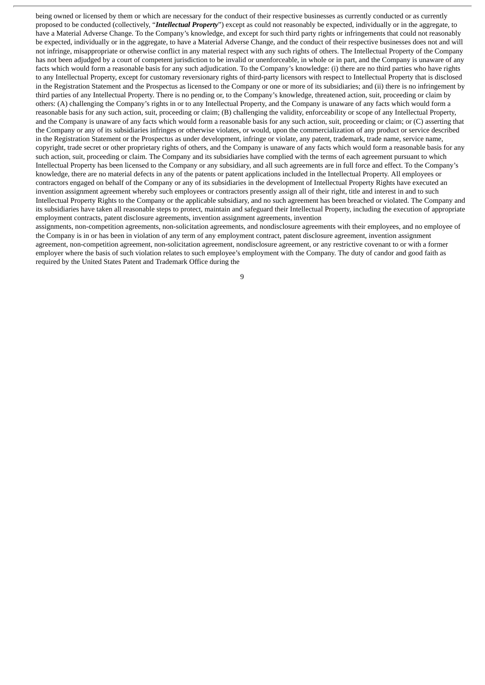being owned or licensed by them or which are necessary for the conduct of their respective businesses as currently conducted or as currently proposed to be conducted (collectively, "*Intellectual Property*") except as could not reasonably be expected, individually or in the aggregate, to have a Material Adverse Change. To the Company's knowledge, and except for such third party rights or infringements that could not reasonably be expected, individually or in the aggregate, to have a Material Adverse Change, and the conduct of their respective businesses does not and will not infringe, misappropriate or otherwise conflict in any material respect with any such rights of others. The Intellectual Property of the Company has not been adjudged by a court of competent jurisdiction to be invalid or unenforceable, in whole or in part, and the Company is unaware of any facts which would form a reasonable basis for any such adjudication. To the Company's knowledge: (i) there are no third parties who have rights to any Intellectual Property, except for customary reversionary rights of third-party licensors with respect to Intellectual Property that is disclosed in the Registration Statement and the Prospectus as licensed to the Company or one or more of its subsidiaries; and (ii) there is no infringement by third parties of any Intellectual Property. There is no pending or, to the Company's knowledge, threatened action, suit, proceeding or claim by others: (A) challenging the Company's rights in or to any Intellectual Property, and the Company is unaware of any facts which would form a reasonable basis for any such action, suit, proceeding or claim; (B) challenging the validity, enforceability or scope of any Intellectual Property, and the Company is unaware of any facts which would form a reasonable basis for any such action, suit, proceeding or claim; or (C) asserting that the Company or any of its subsidiaries infringes or otherwise violates, or would, upon the commercialization of any product or service described in the Registration Statement or the Prospectus as under development, infringe or violate, any patent, trademark, trade name, service name, copyright, trade secret or other proprietary rights of others, and the Company is unaware of any facts which would form a reasonable basis for any such action, suit, proceeding or claim. The Company and its subsidiaries have complied with the terms of each agreement pursuant to which Intellectual Property has been licensed to the Company or any subsidiary, and all such agreements are in full force and effect. To the Company's knowledge, there are no material defects in any of the patents or patent applications included in the Intellectual Property. All employees or contractors engaged on behalf of the Company or any of its subsidiaries in the development of Intellectual Property Rights have executed an invention assignment agreement whereby such employees or contractors presently assign all of their right, title and interest in and to such Intellectual Property Rights to the Company or the applicable subsidiary, and no such agreement has been breached or violated. The Company and its subsidiaries have taken all reasonable steps to protect, maintain and safeguard their Intellectual Property, including the execution of appropriate employment contracts, patent disclosure agreements, invention assignment agreements, invention

assignments, non-competition agreements, non-solicitation agreements, and nondisclosure agreements with their employees, and no employee of the Company is in or has been in violation of any term of any employment contract, patent disclosure agreement, invention assignment agreement, non-competition agreement, non-solicitation agreement, nondisclosure agreement, or any restrictive covenant to or with a former employer where the basis of such violation relates to such employee's employment with the Company. The duty of candor and good faith as required by the United States Patent and Trademark Office during the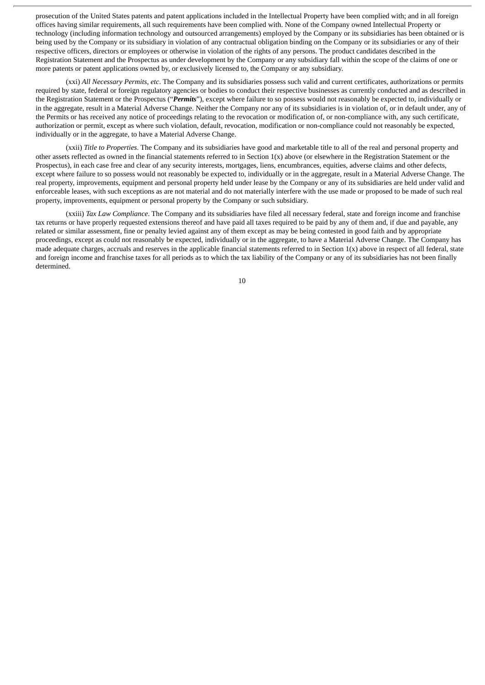prosecution of the United States patents and patent applications included in the Intellectual Property have been complied with; and in all foreign offices having similar requirements, all such requirements have been complied with. None of the Company owned Intellectual Property or technology (including information technology and outsourced arrangements) employed by the Company or its subsidiaries has been obtained or is being used by the Company or its subsidiary in violation of any contractual obligation binding on the Company or its subsidiaries or any of their respective officers, directors or employees or otherwise in violation of the rights of any persons. The product candidates described in the Registration Statement and the Prospectus as under development by the Company or any subsidiary fall within the scope of the claims of one or more patents or patent applications owned by, or exclusively licensed to, the Company or any subsidiary.

(xxi) *All Necessary Permits, etc*. The Company and its subsidiaries possess such valid and current certificates, authorizations or permits required by state, federal or foreign regulatory agencies or bodies to conduct their respective businesses as currently conducted and as described in the Registration Statement or the Prospectus ("*Permits*"), except where failure to so possess would not reasonably be expected to, individually or in the aggregate, result in a Material Adverse Change. Neither the Company nor any of its subsidiaries is in violation of, or in default under, any of the Permits or has received any notice of proceedings relating to the revocation or modification of, or non-compliance with, any such certificate, authorization or permit, except as where such violation, default, revocation, modification or non-compliance could not reasonably be expected, individually or in the aggregate, to have a Material Adverse Change.

(xxii) *Title to Properties*. The Company and its subsidiaries have good and marketable title to all of the real and personal property and other assets reflected as owned in the financial statements referred to in Section 1(x) above (or elsewhere in the Registration Statement or the Prospectus), in each case free and clear of any security interests, mortgages, liens, encumbrances, equities, adverse claims and other defects, except where failure to so possess would not reasonably be expected to, individually or in the aggregate, result in a Material Adverse Change. The real property, improvements, equipment and personal property held under lease by the Company or any of its subsidiaries are held under valid and enforceable leases, with such exceptions as are not material and do not materially interfere with the use made or proposed to be made of such real property, improvements, equipment or personal property by the Company or such subsidiary.

(xxiii) *Tax Law Compliance*. The Company and its subsidiaries have filed all necessary federal, state and foreign income and franchise tax returns or have properly requested extensions thereof and have paid all taxes required to be paid by any of them and, if due and payable, any related or similar assessment, fine or penalty levied against any of them except as may be being contested in good faith and by appropriate proceedings, except as could not reasonably be expected, individually or in the aggregate, to have a Material Adverse Change. The Company has made adequate charges, accruals and reserves in the applicable financial statements referred to in Section  $1(x)$  above in respect of all federal, state and foreign income and franchise taxes for all periods as to which the tax liability of the Company or any of its subsidiaries has not been finally determined.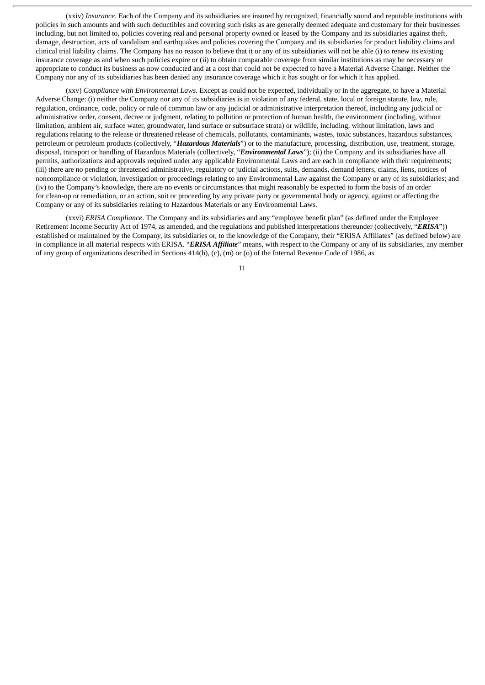(xxiv) *Insurance*. Each of the Company and its subsidiaries are insured by recognized, financially sound and reputable institutions with policies in such amounts and with such deductibles and covering such risks as are generally deemed adequate and customary for their businesses including, but not limited to, policies covering real and personal property owned or leased by the Company and its subsidiaries against theft, damage, destruction, acts of vandalism and earthquakes and policies covering the Company and its subsidiaries for product liability claims and clinical trial liability claims. The Company has no reason to believe that it or any of its subsidiaries will not be able (i) to renew its existing insurance coverage as and when such policies expire or (ii) to obtain comparable coverage from similar institutions as may be necessary or appropriate to conduct its business as now conducted and at a cost that could not be expected to have a Material Adverse Change. Neither the Company nor any of its subsidiaries has been denied any insurance coverage which it has sought or for which it has applied.

(xxv) *Compliance with Environmental Laws*. Except as could not be expected, individually or in the aggregate, to have a Material Adverse Change: (i) neither the Company nor any of its subsidiaries is in violation of any federal, state, local or foreign statute, law, rule, regulation, ordinance, code, policy or rule of common law or any judicial or administrative interpretation thereof, including any judicial or administrative order, consent, decree or judgment, relating to pollution or protection of human health, the environment (including, without limitation, ambient air, surface water, groundwater, land surface or subsurface strata) or wildlife, including, without limitation, laws and regulations relating to the release or threatened release of chemicals, pollutants, contaminants, wastes, toxic substances, hazardous substances, petroleum or petroleum products (collectively, "*Hazardous Materials*") or to the manufacture, processing, distribution, use, treatment, storage, disposal, transport or handling of Hazardous Materials (collectively, "*Environmental Laws*"); (ii) the Company and its subsidiaries have all permits, authorizations and approvals required under any applicable Environmental Laws and are each in compliance with their requirements; (iii) there are no pending or threatened administrative, regulatory or judicial actions, suits, demands, demand letters, claims, liens, notices of noncompliance or violation, investigation or proceedings relating to any Environmental Law against the Company or any of its subsidiaries; and (iv) to the Company's knowledge, there are no events or circumstances that might reasonably be expected to form the basis of an order for clean-up or remediation, or an action, suit or proceeding by any private party or governmental body or agency, against or affecting the Company or any of its subsidiaries relating to Hazardous Materials or any Environmental Laws.

(xxvi) *ERISA Compliance*. The Company and its subsidiaries and any "employee benefit plan" (as defined under the Employee Retirement Income Security Act of 1974, as amended, and the regulations and published interpretations thereunder (collectively, "*ERISA*")) established or maintained by the Company, its subsidiaries or, to the knowledge of the Company, their "ERISA Affiliates" (as defined below) are in compliance in all material respects with ERISA. "*ERISA Affiliate*" means, with respect to the Company or any of its subsidiaries, any member of any group of organizations described in Sections 414(b), (c), (m) or (o) of the Internal Revenue Code of 1986, as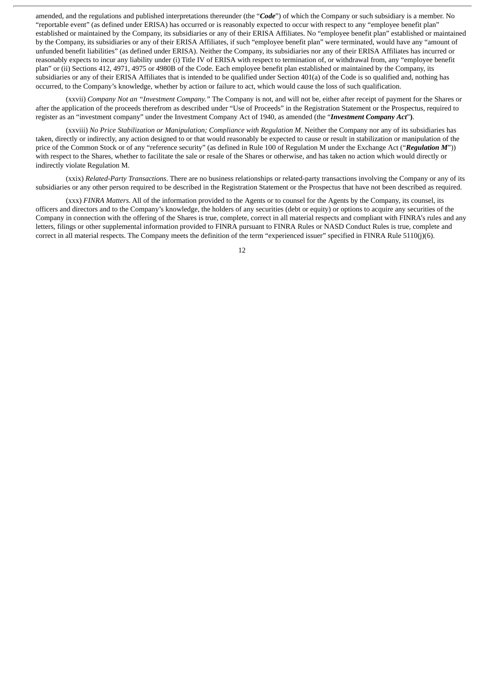amended, and the regulations and published interpretations thereunder (the "*Code*") of which the Company or such subsidiary is a member. No "reportable event" (as defined under ERISA) has occurred or is reasonably expected to occur with respect to any "employee benefit plan" established or maintained by the Company, its subsidiaries or any of their ERISA Affiliates. No "employee benefit plan" established or maintained by the Company, its subsidiaries or any of their ERISA Affiliates, if such "employee benefit plan" were terminated, would have any "amount of unfunded benefit liabilities" (as defined under ERISA). Neither the Company, its subsidiaries nor any of their ERISA Affiliates has incurred or reasonably expects to incur any liability under (i) Title IV of ERISA with respect to termination of, or withdrawal from, any "employee benefit plan" or (ii) Sections 412, 4971, 4975 or 4980B of the Code. Each employee benefit plan established or maintained by the Company, its subsidiaries or any of their ERISA Affiliates that is intended to be qualified under Section 401(a) of the Code is so qualified and, nothing has occurred, to the Company's knowledge, whether by action or failure to act, which would cause the loss of such qualification.

(xxvii) *Company Not an "Investment Company."* The Company is not, and will not be, either after receipt of payment for the Shares or after the application of the proceeds therefrom as described under "Use of Proceeds" in the Registration Statement or the Prospectus, required to register as an "investment company" under the Investment Company Act of 1940, as amended (the "*Investment Company Act*"**)**.

(xxviii) *No Price Stabilization or Manipulation; Compliance with Regulation M*. Neither the Company nor any of its subsidiaries has taken, directly or indirectly, any action designed to or that would reasonably be expected to cause or result in stabilization or manipulation of the price of the Common Stock or of any "reference security" (as defined in Rule 100 of Regulation M under the Exchange Act ("*Regulation M*")) with respect to the Shares, whether to facilitate the sale or resale of the Shares or otherwise, and has taken no action which would directly or indirectly violate Regulation M.

(xxix) *Related-Party Transactions*. There are no business relationships or related-party transactions involving the Company or any of its subsidiaries or any other person required to be described in the Registration Statement or the Prospectus that have not been described as required.

(xxx) *FINRA Matters*. All of the information provided to the Agents or to counsel for the Agents by the Company, its counsel, its officers and directors and to the Company's knowledge, the holders of any securities (debt or equity) or options to acquire any securities of the Company in connection with the offering of the Shares is true, complete, correct in all material respects and compliant with FINRA's rules and any letters, filings or other supplemental information provided to FINRA pursuant to FINRA Rules or NASD Conduct Rules is true, complete and correct in all material respects. The Company meets the definition of the term "experienced issuer" specified in FINRA Rule 5110(j)(6).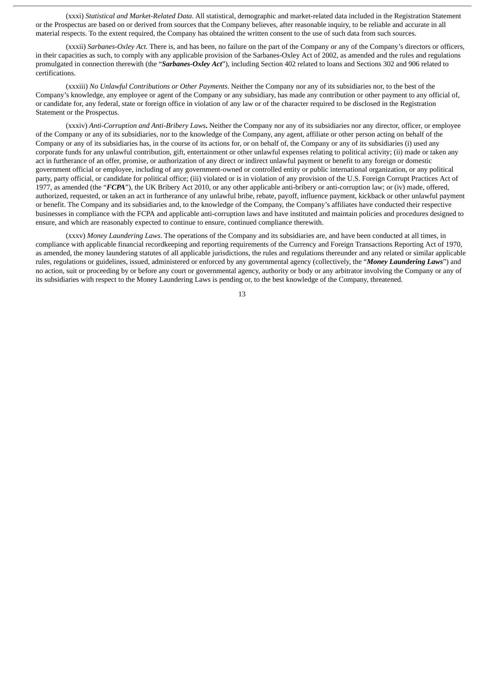(xxxi) *Statistical and Market-Related Data*. All statistical, demographic and market-related data included in the Registration Statement or the Prospectus are based on or derived from sources that the Company believes, after reasonable inquiry, to be reliable and accurate in all material respects. To the extent required, the Company has obtained the written consent to the use of such data from such sources.

(xxxii) *Sarbanes-Oxley Act.* There is, and has been, no failure on the part of the Company or any of the Company's directors or officers, in their capacities as such, to comply with any applicable provision of the Sarbanes-Oxley Act of 2002, as amended and the rules and regulations promulgated in connection therewith (the "*Sarbanes-Oxley Act*"), including Section 402 related to loans and Sections 302 and 906 related to certifications.

(xxxiii) *No Unlawful Contributions or Other Payments*. Neither the Company nor any of its subsidiaries nor, to the best of the Company's knowledge, any employee or agent of the Company or any subsidiary, has made any contribution or other payment to any official of, or candidate for, any federal, state or foreign office in violation of any law or of the character required to be disclosed in the Registration Statement or the Prospectus.

(xxxiv) *Anti-Corruption and Anti-Bribery Laws***.** Neither the Company nor any of its subsidiaries nor any director, officer, or employee of the Company or any of its subsidiaries, nor to the knowledge of the Company, any agent, affiliate or other person acting on behalf of the Company or any of its subsidiaries has, in the course of its actions for, or on behalf of, the Company or any of its subsidiaries (i) used any corporate funds for any unlawful contribution, gift, entertainment or other unlawful expenses relating to political activity; (ii) made or taken any act in furtherance of an offer, promise, or authorization of any direct or indirect unlawful payment or benefit to any foreign or domestic government official or employee, including of any government-owned or controlled entity or public international organization, or any political party, party official, or candidate for political office; (iii) violated or is in violation of any provision of the U.S. Foreign Corrupt Practices Act of 1977, as amended (the "*FCPA*"), the UK Bribery Act 2010, or any other applicable anti-bribery or anti-corruption law; or (iv) made, offered, authorized, requested, or taken an act in furtherance of any unlawful bribe, rebate, payoff, influence payment, kickback or other unlawful payment or benefit. The Company and its subsidiaries and, to the knowledge of the Company, the Company's affiliates have conducted their respective businesses in compliance with the FCPA and applicable anti-corruption laws and have instituted and maintain policies and procedures designed to ensure, and which are reasonably expected to continue to ensure, continued compliance therewith.

(xxxv) *Money Laundering Laws*. The operations of the Company and its subsidiaries are, and have been conducted at all times, in compliance with applicable financial recordkeeping and reporting requirements of the Currency and Foreign Transactions Reporting Act of 1970, as amended, the money laundering statutes of all applicable jurisdictions, the rules and regulations thereunder and any related or similar applicable rules, regulations or guidelines, issued, administered or enforced by any governmental agency (collectively, the "*Money Laundering Laws*") and no action, suit or proceeding by or before any court or governmental agency, authority or body or any arbitrator involving the Company or any of its subsidiaries with respect to the Money Laundering Laws is pending or, to the best knowledge of the Company, threatened.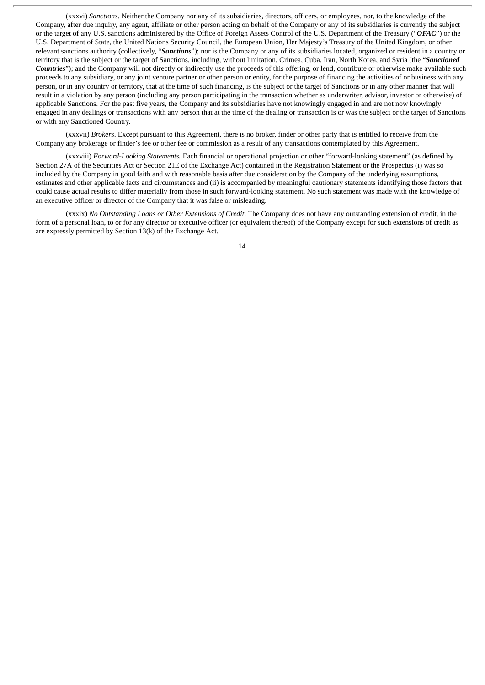(xxxvi) *Sanctions*. Neither the Company nor any of its subsidiaries, directors, officers, or employees, nor, to the knowledge of the Company, after due inquiry, any agent, affiliate or other person acting on behalf of the Company or any of its subsidiaries is currently the subject or the target of any U.S. sanctions administered by the Office of Foreign Assets Control of the U.S. Department of the Treasury ("*OFAC*") or the U.S. Department of State, the United Nations Security Council, the European Union, Her Majesty's Treasury of the United Kingdom, or other relevant sanctions authority (collectively, "*Sanctions*"); nor is the Company or any of its subsidiaries located, organized or resident in a country or territory that is the subject or the target of Sanctions, including, without limitation, Crimea, Cuba, Iran, North Korea, and Syria (the "*Sanctioned Countries*"); and the Company will not directly or indirectly use the proceeds of this offering, or lend, contribute or otherwise make available such proceeds to any subsidiary, or any joint venture partner or other person or entity, for the purpose of financing the activities of or business with any person, or in any country or territory, that at the time of such financing, is the subject or the target of Sanctions or in any other manner that will result in a violation by any person (including any person participating in the transaction whether as underwriter, advisor, investor or otherwise) of applicable Sanctions. For the past five years, the Company and its subsidiaries have not knowingly engaged in and are not now knowingly engaged in any dealings or transactions with any person that at the time of the dealing or transaction is or was the subject or the target of Sanctions or with any Sanctioned Country.

(xxxvii) *Brokers*. Except pursuant to this Agreement, there is no broker, finder or other party that is entitled to receive from the Company any brokerage or finder's fee or other fee or commission as a result of any transactions contemplated by this Agreement.

(xxxviii) *Forward-Looking Statements.* Each financial or operational projection or other "forward-looking statement" (as defined by Section 27A of the Securities Act or Section 21E of the Exchange Act) contained in the Registration Statement or the Prospectus (i) was so included by the Company in good faith and with reasonable basis after due consideration by the Company of the underlying assumptions, estimates and other applicable facts and circumstances and (ii) is accompanied by meaningful cautionary statements identifying those factors that could cause actual results to differ materially from those in such forward-looking statement. No such statement was made with the knowledge of an executive officer or director of the Company that it was false or misleading.

(xxxix) *No Outstanding Loans or Other Extensions of Credit*. The Company does not have any outstanding extension of credit, in the form of a personal loan, to or for any director or executive officer (or equivalent thereof) of the Company except for such extensions of credit as are expressly permitted by Section 13(k) of the Exchange Act.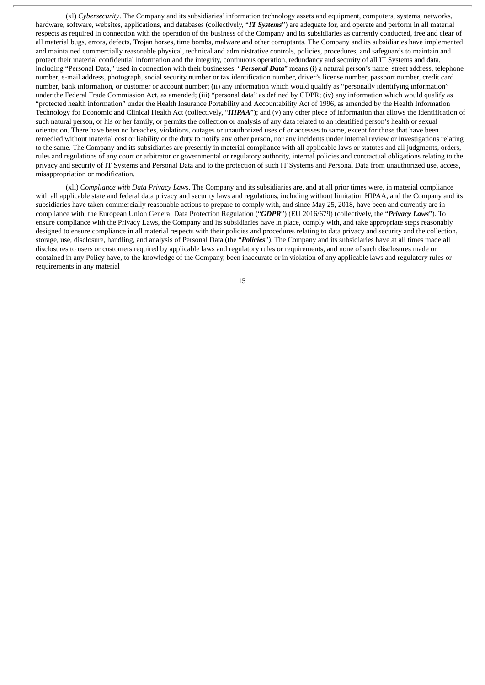(xl) *Cybersecurity*. The Company and its subsidiaries' information technology assets and equipment, computers, systems, networks, hardware, software, websites, applications, and databases (collectively, "*IT Systems*") are adequate for, and operate and perform in all material respects as required in connection with the operation of the business of the Company and its subsidiaries as currently conducted, free and clear of all material bugs, errors, defects, Trojan horses, time bombs, malware and other corruptants. The Company and its subsidiaries have implemented and maintained commercially reasonable physical, technical and administrative controls, policies, procedures, and safeguards to maintain and protect their material confidential information and the integrity, continuous operation, redundancy and security of all IT Systems and data, including "Personal Data," used in connection with their businesses. "*Personal Data*" means (i) a natural person's name, street address, telephone number, e-mail address, photograph, social security number or tax identification number, driver's license number, passport number, credit card number, bank information, or customer or account number; (ii) any information which would qualify as "personally identifying information" under the Federal Trade Commission Act, as amended; (iii) "personal data" as defined by GDPR; (iv) any information which would qualify as "protected health information" under the Health Insurance Portability and Accountability Act of 1996, as amended by the Health Information Technology for Economic and Clinical Health Act (collectively, "*HIPAA*"); and (v) any other piece of information that allows the identification of such natural person, or his or her family, or permits the collection or analysis of any data related to an identified person's health or sexual orientation. There have been no breaches, violations, outages or unauthorized uses of or accesses to same, except for those that have been remedied without material cost or liability or the duty to notify any other person, nor any incidents under internal review or investigations relating to the same. The Company and its subsidiaries are presently in material compliance with all applicable laws or statutes and all judgments, orders, rules and regulations of any court or arbitrator or governmental or regulatory authority, internal policies and contractual obligations relating to the privacy and security of IT Systems and Personal Data and to the protection of such IT Systems and Personal Data from unauthorized use, access, misappropriation or modification.

(xli) *Compliance with Data Privacy Laws*. The Company and its subsidiaries are, and at all prior times were, in material compliance with all applicable state and federal data privacy and security laws and regulations, including without limitation HIPAA, and the Company and its subsidiaries have taken commercially reasonable actions to prepare to comply with, and since May 25, 2018, have been and currently are in compliance with, the European Union General Data Protection Regulation ("*GDPR*") (EU 2016/679) (collectively, the "*Privacy Laws*"). To ensure compliance with the Privacy Laws, the Company and its subsidiaries have in place, comply with, and take appropriate steps reasonably designed to ensure compliance in all material respects with their policies and procedures relating to data privacy and security and the collection, storage, use, disclosure, handling, and analysis of Personal Data (the "*Policies*"). The Company and its subsidiaries have at all times made all disclosures to users or customers required by applicable laws and regulatory rules or requirements, and none of such disclosures made or contained in any Policy have, to the knowledge of the Company, been inaccurate or in violation of any applicable laws and regulatory rules or requirements in any material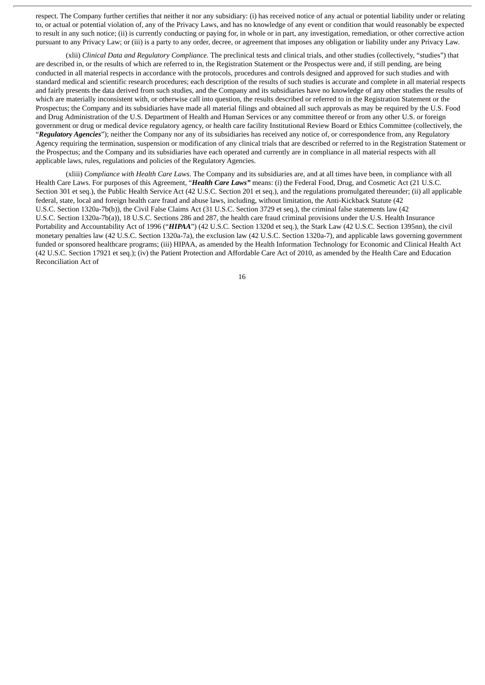respect. The Company further certifies that neither it nor any subsidiary: (i) has received notice of any actual or potential liability under or relating to, or actual or potential violation of, any of the Privacy Laws, and has no knowledge of any event or condition that would reasonably be expected to result in any such notice; (ii) is currently conducting or paying for, in whole or in part, any investigation, remediation, or other corrective action pursuant to any Privacy Law; or (iii) is a party to any order, decree, or agreement that imposes any obligation or liability under any Privacy Law.

(xlii) *Clinical Data and Regulatory Compliance.* The preclinical tests and clinical trials, and other studies (collectively, "studies") that are described in, or the results of which are referred to in, the Registration Statement or the Prospectus were and, if still pending, are being conducted in all material respects in accordance with the protocols, procedures and controls designed and approved for such studies and with standard medical and scientific research procedures; each description of the results of such studies is accurate and complete in all material respects and fairly presents the data derived from such studies, and the Company and its subsidiaries have no knowledge of any other studies the results of which are materially inconsistent with, or otherwise call into question, the results described or referred to in the Registration Statement or the Prospectus; the Company and its subsidiaries have made all material filings and obtained all such approvals as may be required by the U.S. Food and Drug Administration of the U.S. Department of Health and Human Services or any committee thereof or from any other U.S. or foreign government or drug or medical device regulatory agency, or health care facility Institutional Review Board or Ethics Committee (collectively, the "*Regulatory Agencies*"); neither the Company nor any of its subsidiaries has received any notice of, or correspondence from, any Regulatory Agency requiring the termination, suspension or modification of any clinical trials that are described or referred to in the Registration Statement or the Prospectus; and the Company and its subsidiaries have each operated and currently are in compliance in all material respects with all applicable laws, rules, regulations and policies of the Regulatory Agencies.

(xliii) *Compliance with Health Care Laws*. The Company and its subsidiaries are, and at all times have been, in compliance with all Health Care Laws. For purposes of this Agreement, "*Health Care Laws"* means: (i) the Federal Food, Drug, and Cosmetic Act (21 U.S.C. Section 301 et seq.), the Public Health Service Act (42 U.S.C. Section 201 et seq.), and the regulations promulgated thereunder; (ii) all applicable federal, state, local and foreign health care fraud and abuse laws, including, without limitation, the Anti-Kickback Statute (42 U.S.C. Section 1320a-7b(b)), the Civil False Claims Act (31 U.S.C. Section 3729 et seq.), the criminal false statements law (42 U.S.C. Section 1320a-7b(a)), 18 U.S.C. Sections 286 and 287, the health care fraud criminal provisions under the U.S. Health Insurance Portability and Accountability Act of 1996 ("*HIPAA*") (42 U.S.C. Section 1320d et seq.), the Stark Law (42 U.S.C. Section 1395nn), the civil monetary penalties law (42 U.S.C. Section 1320a-7a), the exclusion law (42 U.S.C. Section 1320a-7), and applicable laws governing government funded or sponsored healthcare programs; (iii) HIPAA, as amended by the Health Information Technology for Economic and Clinical Health Act (42 U.S.C. Section 17921 et seq.); (iv) the Patient Protection and Affordable Care Act of 2010, as amended by the Health Care and Education Reconciliation Act of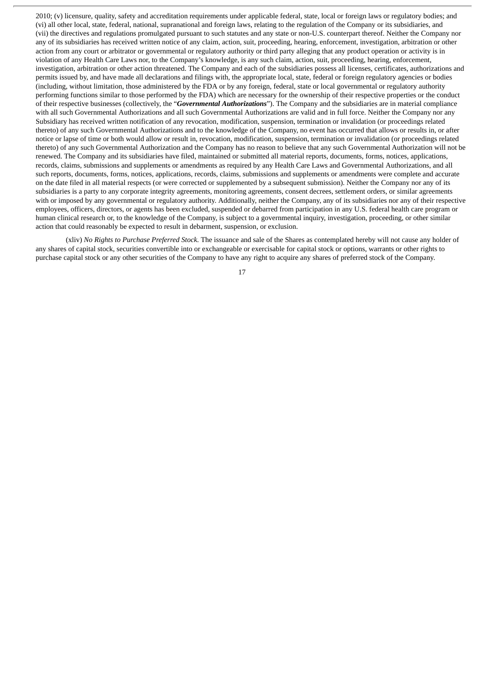2010; (v) licensure, quality, safety and accreditation requirements under applicable federal, state, local or foreign laws or regulatory bodies; and (vi) all other local, state, federal, national, supranational and foreign laws, relating to the regulation of the Company or its subsidiaries, and (vii) the directives and regulations promulgated pursuant to such statutes and any state or non-U.S. counterpart thereof. Neither the Company nor any of its subsidiaries has received written notice of any claim, action, suit, proceeding, hearing, enforcement, investigation, arbitration or other action from any court or arbitrator or governmental or regulatory authority or third party alleging that any product operation or activity is in violation of any Health Care Laws nor, to the Company's knowledge, is any such claim, action, suit, proceeding, hearing, enforcement, investigation, arbitration or other action threatened. The Company and each of the subsidiaries possess all licenses, certificates, authorizations and permits issued by, and have made all declarations and filings with, the appropriate local, state, federal or foreign regulatory agencies or bodies (including, without limitation, those administered by the FDA or by any foreign, federal, state or local governmental or regulatory authority performing functions similar to those performed by the FDA) which are necessary for the ownership of their respective properties or the conduct of their respective businesses (collectively, the "*Governmental Authorizations*"). The Company and the subsidiaries are in material compliance with all such Governmental Authorizations and all such Governmental Authorizations are valid and in full force. Neither the Company nor any Subsidiary has received written notification of any revocation, modification, suspension, termination or invalidation (or proceedings related thereto) of any such Governmental Authorizations and to the knowledge of the Company, no event has occurred that allows or results in, or after notice or lapse of time or both would allow or result in, revocation, modification, suspension, termination or invalidation (or proceedings related thereto) of any such Governmental Authorization and the Company has no reason to believe that any such Governmental Authorization will not be renewed. The Company and its subsidiaries have filed, maintained or submitted all material reports, documents, forms, notices, applications, records, claims, submissions and supplements or amendments as required by any Health Care Laws and Governmental Authorizations, and all such reports, documents, forms, notices, applications, records, claims, submissions and supplements or amendments were complete and accurate on the date filed in all material respects (or were corrected or supplemented by a subsequent submission). Neither the Company nor any of its subsidiaries is a party to any corporate integrity agreements, monitoring agreements, consent decrees, settlement orders, or similar agreements with or imposed by any governmental or regulatory authority. Additionally, neither the Company, any of its subsidiaries nor any of their respective employees, officers, directors, or agents has been excluded, suspended or debarred from participation in any U.S. federal health care program or human clinical research or, to the knowledge of the Company, is subject to a governmental inquiry, investigation, proceeding, or other similar action that could reasonably be expected to result in debarment, suspension, or exclusion.

(xliv) *No Rights to Purchase Preferred Stock.* The issuance and sale of the Shares as contemplated hereby will not cause any holder of any shares of capital stock, securities convertible into or exchangeable or exercisable for capital stock or options, warrants or other rights to purchase capital stock or any other securities of the Company to have any right to acquire any shares of preferred stock of the Company.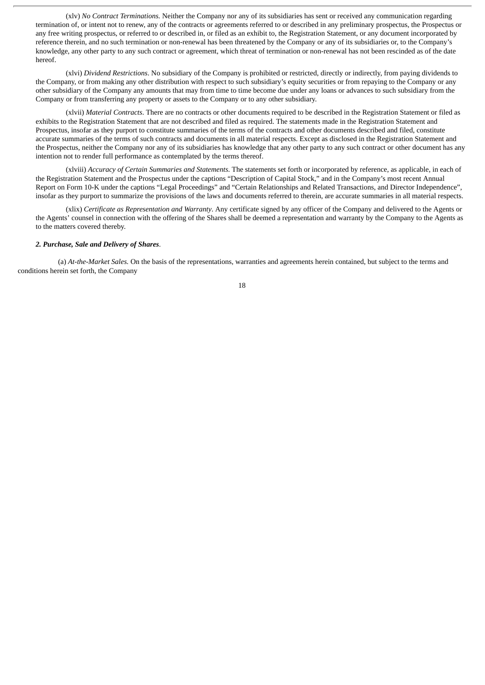(xlv) *No Contract Terminations.* Neither the Company nor any of its subsidiaries has sent or received any communication regarding termination of, or intent not to renew, any of the contracts or agreements referred to or described in any preliminary prospectus, the Prospectus or any free writing prospectus, or referred to or described in, or filed as an exhibit to, the Registration Statement, or any document incorporated by reference therein, and no such termination or non-renewal has been threatened by the Company or any of its subsidiaries or, to the Company's knowledge, any other party to any such contract or agreement, which threat of termination or non-renewal has not been rescinded as of the date hereof.

(xlvi) *Dividend Restrictions*. No subsidiary of the Company is prohibited or restricted, directly or indirectly, from paying dividends to the Company, or from making any other distribution with respect to such subsidiary's equity securities or from repaying to the Company or any other subsidiary of the Company any amounts that may from time to time become due under any loans or advances to such subsidiary from the Company or from transferring any property or assets to the Company or to any other subsidiary.

(xlvii) *Material Contracts*. There are no contracts or other documents required to be described in the Registration Statement or filed as exhibits to the Registration Statement that are not described and filed as required. The statements made in the Registration Statement and Prospectus, insofar as they purport to constitute summaries of the terms of the contracts and other documents described and filed, constitute accurate summaries of the terms of such contracts and documents in all material respects. Except as disclosed in the Registration Statement and the Prospectus, neither the Company nor any of its subsidiaries has knowledge that any other party to any such contract or other document has any intention not to render full performance as contemplated by the terms thereof.

(xlviii) *Accuracy of Certain Summaries and Statements*. The statements set forth or incorporated by reference, as applicable, in each of the Registration Statement and the Prospectus under the captions "Description of Capital Stock," and in the Company's most recent Annual Report on Form 10-K under the captions "Legal Proceedings" and "Certain Relationships and Related Transactions, and Director Independence", insofar as they purport to summarize the provisions of the laws and documents referred to therein, are accurate summaries in all material respects.

(xlix) *Certificate as Representation and Warranty*. Any certificate signed by any officer of the Company and delivered to the Agents or the Agents' counsel in connection with the offering of the Shares shall be deemed a representation and warranty by the Company to the Agents as to the matters covered thereby.

### *2. Purchase, Sale and Delivery of Shares*.

(a) *At-the-Market Sales.* On the basis of the representations, warranties and agreements herein contained, but subject to the terms and conditions herein set forth, the Company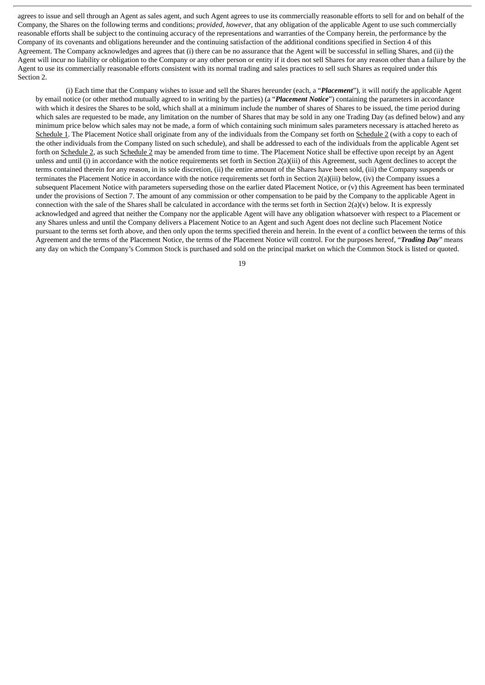agrees to issue and sell through an Agent as sales agent, and such Agent agrees to use its commercially reasonable efforts to sell for and on behalf of the Company, the Shares on the following terms and conditions; *provided*, *however*, that any obligation of the applicable Agent to use such commercially reasonable efforts shall be subject to the continuing accuracy of the representations and warranties of the Company herein, the performance by the Company of its covenants and obligations hereunder and the continuing satisfaction of the additional conditions specified in Section 4 of this Agreement. The Company acknowledges and agrees that (i) there can be no assurance that the Agent will be successful in selling Shares, and (ii) the Agent will incur no liability or obligation to the Company or any other person or entity if it does not sell Shares for any reason other than a failure by the Agent to use its commercially reasonable efforts consistent with its normal trading and sales practices to sell such Shares as required under this Section 2.

(i) Each time that the Company wishes to issue and sell the Shares hereunder (each, a "*Placement*"), it will notify the applicable Agent by email notice (or other method mutually agreed to in writing by the parties) (a "*Placement Notice*") containing the parameters in accordance with which it desires the Shares to be sold, which shall at a minimum include the number of shares of Shares to be issued, the time period during which sales are requested to be made, any limitation on the number of Shares that may be sold in any one Trading Day (as defined below) and any minimum price below which sales may not be made, a form of which containing such minimum sales parameters necessary is attached hereto as Schedule 1. The Placement Notice shall originate from any of the individuals from the Company set forth on Schedule 2 (with a copy to each of the other individuals from the Company listed on such schedule), and shall be addressed to each of the individuals from the applicable Agent set forth on Schedule 2, as such Schedule 2 may be amended from time to time. The Placement Notice shall be effective upon receipt by an Agent unless and until (i) in accordance with the notice requirements set forth in Section 2(a)(iii) of this Agreement, such Agent declines to accept the terms contained therein for any reason, in its sole discretion, (ii) the entire amount of the Shares have been sold, (iii) the Company suspends or terminates the Placement Notice in accordance with the notice requirements set forth in Section 2(a)(iii) below, (iv) the Company issues a subsequent Placement Notice with parameters superseding those on the earlier dated Placement Notice, or (v) this Agreement has been terminated under the provisions of Section 7. The amount of any commission or other compensation to be paid by the Company to the applicable Agent in connection with the sale of the Shares shall be calculated in accordance with the terms set forth in Section  $2(a)(v)$  below. It is expressly acknowledged and agreed that neither the Company nor the applicable Agent will have any obligation whatsoever with respect to a Placement or any Shares unless and until the Company delivers a Placement Notice to an Agent and such Agent does not decline such Placement Notice pursuant to the terms set forth above, and then only upon the terms specified therein and herein. In the event of a conflict between the terms of this Agreement and the terms of the Placement Notice, the terms of the Placement Notice will control. For the purposes hereof, "*Trading Day*" means any day on which the Company's Common Stock is purchased and sold on the principal market on which the Common Stock is listed or quoted.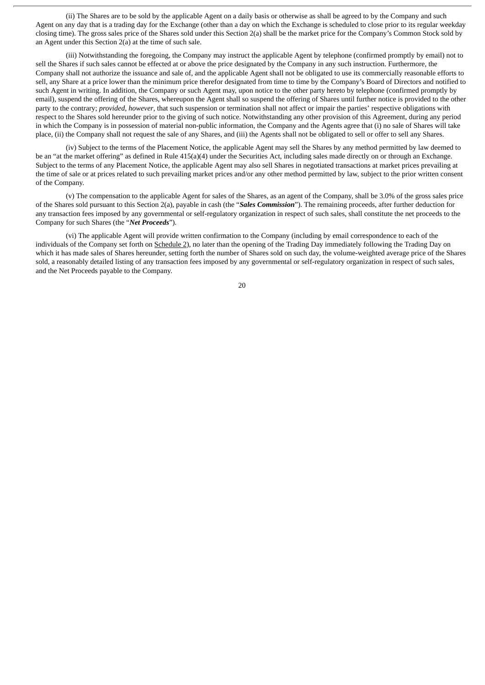(ii) The Shares are to be sold by the applicable Agent on a daily basis or otherwise as shall be agreed to by the Company and such Agent on any day that is a trading day for the Exchange (other than a day on which the Exchange is scheduled to close prior to its regular weekday closing time). The gross sales price of the Shares sold under this Section 2(a) shall be the market price for the Company's Common Stock sold by an Agent under this Section 2(a) at the time of such sale.

(iii) Notwithstanding the foregoing, the Company may instruct the applicable Agent by telephone (confirmed promptly by email) not to sell the Shares if such sales cannot be effected at or above the price designated by the Company in any such instruction. Furthermore, the Company shall not authorize the issuance and sale of, and the applicable Agent shall not be obligated to use its commercially reasonable efforts to sell, any Share at a price lower than the minimum price therefor designated from time to time by the Company's Board of Directors and notified to such Agent in writing. In addition, the Company or such Agent may, upon notice to the other party hereto by telephone (confirmed promptly by email), suspend the offering of the Shares, whereupon the Agent shall so suspend the offering of Shares until further notice is provided to the other party to the contrary; *provided*, *however*, that such suspension or termination shall not affect or impair the parties' respective obligations with respect to the Shares sold hereunder prior to the giving of such notice. Notwithstanding any other provision of this Agreement, during any period in which the Company is in possession of material non-public information, the Company and the Agents agree that (i) no sale of Shares will take place, (ii) the Company shall not request the sale of any Shares, and (iii) the Agents shall not be obligated to sell or offer to sell any Shares.

(iv) Subject to the terms of the Placement Notice, the applicable Agent may sell the Shares by any method permitted by law deemed to be an "at the market offering" as defined in Rule 415(a)(4) under the Securities Act, including sales made directly on or through an Exchange. Subject to the terms of any Placement Notice, the applicable Agent may also sell Shares in negotiated transactions at market prices prevailing at the time of sale or at prices related to such prevailing market prices and/or any other method permitted by law, subject to the prior written consent of the Company.

(v) The compensation to the applicable Agent for sales of the Shares, as an agent of the Company, shall be 3.0% of the gross sales price of the Shares sold pursuant to this Section 2(a), payable in cash (the "*Sales Commission*"). The remaining proceeds, after further deduction for any transaction fees imposed by any governmental or self-regulatory organization in respect of such sales, shall constitute the net proceeds to the Company for such Shares (the "*Net Proceeds*").

(vi) The applicable Agent will provide written confirmation to the Company (including by email correspondence to each of the individuals of the Company set forth on Schedule 2), no later than the opening of the Trading Day immediately following the Trading Day on which it has made sales of Shares hereunder, setting forth the number of Shares sold on such day, the volume-weighted average price of the Shares sold, a reasonably detailed listing of any transaction fees imposed by any governmental or self-regulatory organization in respect of such sales, and the Net Proceeds payable to the Company.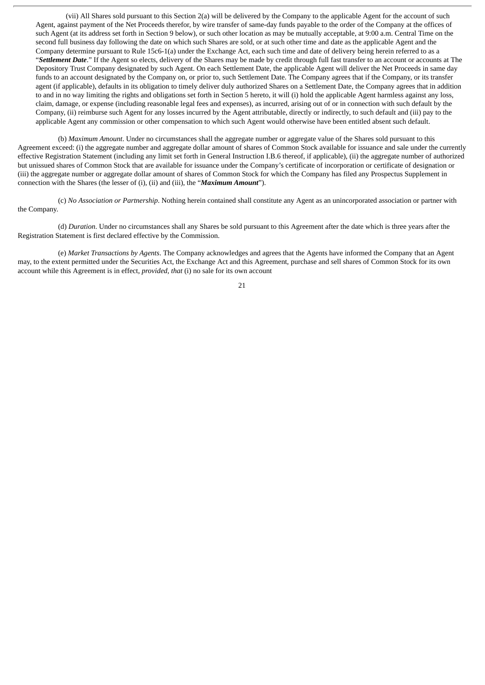(vii) All Shares sold pursuant to this Section 2(a) will be delivered by the Company to the applicable Agent for the account of such Agent, against payment of the Net Proceeds therefor, by wire transfer of same-day funds payable to the order of the Company at the offices of such Agent (at its address set forth in Section 9 below), or such other location as may be mutually acceptable, at 9:00 a.m. Central Time on the second full business day following the date on which such Shares are sold, or at such other time and date as the applicable Agent and the Company determine pursuant to Rule 15c6-1(a) under the Exchange Act, each such time and date of delivery being herein referred to as a "*Settlement Date*." If the Agent so elects, delivery of the Shares may be made by credit through full fast transfer to an account or accounts at The Depository Trust Company designated by such Agent. On each Settlement Date, the applicable Agent will deliver the Net Proceeds in same day funds to an account designated by the Company on, or prior to, such Settlement Date. The Company agrees that if the Company, or its transfer agent (if applicable), defaults in its obligation to timely deliver duly authorized Shares on a Settlement Date, the Company agrees that in addition to and in no way limiting the rights and obligations set forth in Section 5 hereto, it will (i) hold the applicable Agent harmless against any loss, claim, damage, or expense (including reasonable legal fees and expenses), as incurred, arising out of or in connection with such default by the Company, (ii) reimburse such Agent for any losses incurred by the Agent attributable, directly or indirectly, to such default and (iii) pay to the applicable Agent any commission or other compensation to which such Agent would otherwise have been entitled absent such default.

(b) *Maximum Amount*. Under no circumstances shall the aggregate number or aggregate value of the Shares sold pursuant to this Agreement exceed: (i) the aggregate number and aggregate dollar amount of shares of Common Stock available for issuance and sale under the currently effective Registration Statement (including any limit set forth in General Instruction I.B.6 thereof, if applicable), (ii) the aggregate number of authorized but unissued shares of Common Stock that are available for issuance under the Company's certificate of incorporation or certificate of designation or (iii) the aggregate number or aggregate dollar amount of shares of Common Stock for which the Company has filed any Prospectus Supplement in connection with the Shares (the lesser of (i), (ii) and (iii), the "*Maximum Amount*").

(c) *No Association or Partnership*. Nothing herein contained shall constitute any Agent as an unincorporated association or partner with the Company.

(d) *Duration*. Under no circumstances shall any Shares be sold pursuant to this Agreement after the date which is three years after the Registration Statement is first declared effective by the Commission.

(e) *Market Transactions by Agents*. The Company acknowledges and agrees that the Agents have informed the Company that an Agent may, to the extent permitted under the Securities Act, the Exchange Act and this Agreement, purchase and sell shares of Common Stock for its own account while this Agreement is in effect, *provided, that* (i) no sale for its own account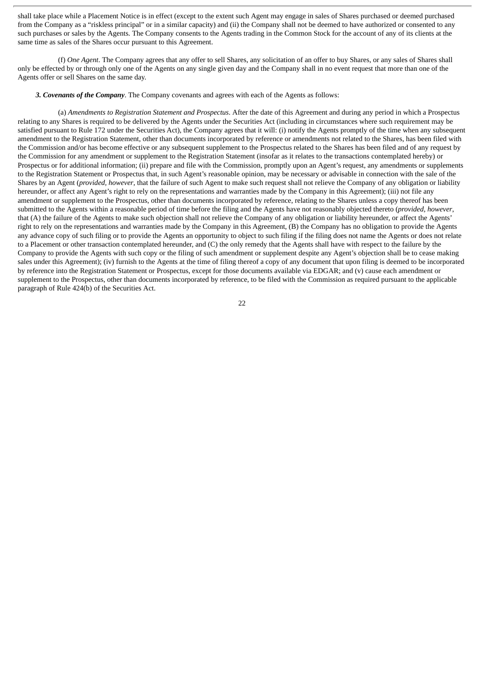shall take place while a Placement Notice is in effect (except to the extent such Agent may engage in sales of Shares purchased or deemed purchased from the Company as a "riskless principal" or in a similar capacity) and (ii) the Company shall not be deemed to have authorized or consented to any such purchases or sales by the Agents. The Company consents to the Agents trading in the Common Stock for the account of any of its clients at the same time as sales of the Shares occur pursuant to this Agreement.

(f) *One Agent*. The Company agrees that any offer to sell Shares, any solicitation of an offer to buy Shares, or any sales of Shares shall only be effected by or through only one of the Agents on any single given day and the Company shall in no event request that more than one of the Agents offer or sell Shares on the same day.

*3. Covenants of the Company*. The Company covenants and agrees with each of the Agents as follows:

(a) *Amendments to Registration Statement and Prospectus*. After the date of this Agreement and during any period in which a Prospectus relating to any Shares is required to be delivered by the Agents under the Securities Act (including in circumstances where such requirement may be satisfied pursuant to Rule 172 under the Securities Act), the Company agrees that it will: (i) notify the Agents promptly of the time when any subsequent amendment to the Registration Statement, other than documents incorporated by reference or amendments not related to the Shares, has been filed with the Commission and/or has become effective or any subsequent supplement to the Prospectus related to the Shares has been filed and of any request by the Commission for any amendment or supplement to the Registration Statement (insofar as it relates to the transactions contemplated hereby) or Prospectus or for additional information; (ii) prepare and file with the Commission, promptly upon an Agent's request, any amendments or supplements to the Registration Statement or Prospectus that, in such Agent's reasonable opinion, may be necessary or advisable in connection with the sale of the Shares by an Agent (*provided, however*, that the failure of such Agent to make such request shall not relieve the Company of any obligation or liability hereunder, or affect any Agent's right to rely on the representations and warranties made by the Company in this Agreement); (iii) not file any amendment or supplement to the Prospectus, other than documents incorporated by reference, relating to the Shares unless a copy thereof has been submitted to the Agents within a reasonable period of time before the filing and the Agents have not reasonably objected thereto (*provided, however*, that (A) the failure of the Agents to make such objection shall not relieve the Company of any obligation or liability hereunder, or affect the Agents' right to rely on the representations and warranties made by the Company in this Agreement, (B) the Company has no obligation to provide the Agents any advance copy of such filing or to provide the Agents an opportunity to object to such filing if the filing does not name the Agents or does not relate to a Placement or other transaction contemplated hereunder, and (C) the only remedy that the Agents shall have with respect to the failure by the Company to provide the Agents with such copy or the filing of such amendment or supplement despite any Agent's objection shall be to cease making sales under this Agreement); (iv) furnish to the Agents at the time of filing thereof a copy of any document that upon filing is deemed to be incorporated by reference into the Registration Statement or Prospectus, except for those documents available via EDGAR; and (v) cause each amendment or supplement to the Prospectus, other than documents incorporated by reference, to be filed with the Commission as required pursuant to the applicable paragraph of Rule 424(b) of the Securities Act.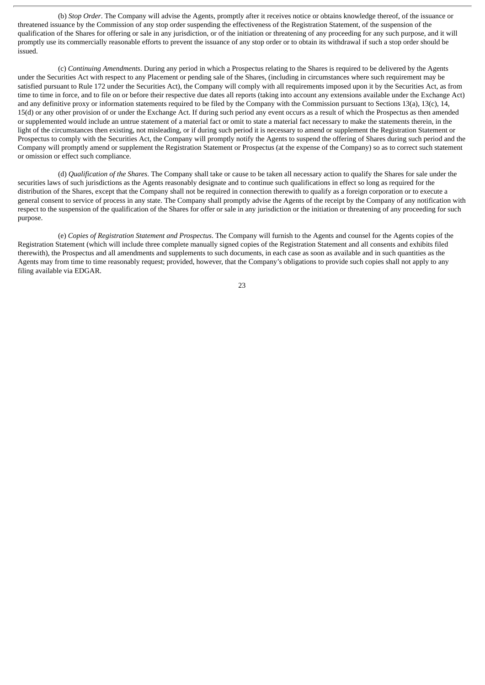(b) *Stop Order*. The Company will advise the Agents, promptly after it receives notice or obtains knowledge thereof, of the issuance or threatened issuance by the Commission of any stop order suspending the effectiveness of the Registration Statement, of the suspension of the qualification of the Shares for offering or sale in any jurisdiction, or of the initiation or threatening of any proceeding for any such purpose, and it will promptly use its commercially reasonable efforts to prevent the issuance of any stop order or to obtain its withdrawal if such a stop order should be issued.

(c) *Continuing Amendments*. During any period in which a Prospectus relating to the Shares is required to be delivered by the Agents under the Securities Act with respect to any Placement or pending sale of the Shares, (including in circumstances where such requirement may be satisfied pursuant to Rule 172 under the Securities Act), the Company will comply with all requirements imposed upon it by the Securities Act, as from time to time in force, and to file on or before their respective due dates all reports (taking into account any extensions available under the Exchange Act) and any definitive proxy or information statements required to be filed by the Company with the Commission pursuant to Sections 13(a), 13(c), 14, 15(d) or any other provision of or under the Exchange Act. If during such period any event occurs as a result of which the Prospectus as then amended or supplemented would include an untrue statement of a material fact or omit to state a material fact necessary to make the statements therein, in the light of the circumstances then existing, not misleading, or if during such period it is necessary to amend or supplement the Registration Statement or Prospectus to comply with the Securities Act, the Company will promptly notify the Agents to suspend the offering of Shares during such period and the Company will promptly amend or supplement the Registration Statement or Prospectus (at the expense of the Company) so as to correct such statement or omission or effect such compliance.

(d) *Qualification of the Shares*. The Company shall take or cause to be taken all necessary action to qualify the Shares for sale under the securities laws of such jurisdictions as the Agents reasonably designate and to continue such qualifications in effect so long as required for the distribution of the Shares, except that the Company shall not be required in connection therewith to qualify as a foreign corporation or to execute a general consent to service of process in any state. The Company shall promptly advise the Agents of the receipt by the Company of any notification with respect to the suspension of the qualification of the Shares for offer or sale in any jurisdiction or the initiation or threatening of any proceeding for such purpose.

(e) *Copies of Registration Statement and Prospectus*. The Company will furnish to the Agents and counsel for the Agents copies of the Registration Statement (which will include three complete manually signed copies of the Registration Statement and all consents and exhibits filed therewith), the Prospectus and all amendments and supplements to such documents, in each case as soon as available and in such quantities as the Agents may from time to time reasonably request; provided, however, that the Company's obligations to provide such copies shall not apply to any filing available via EDGAR.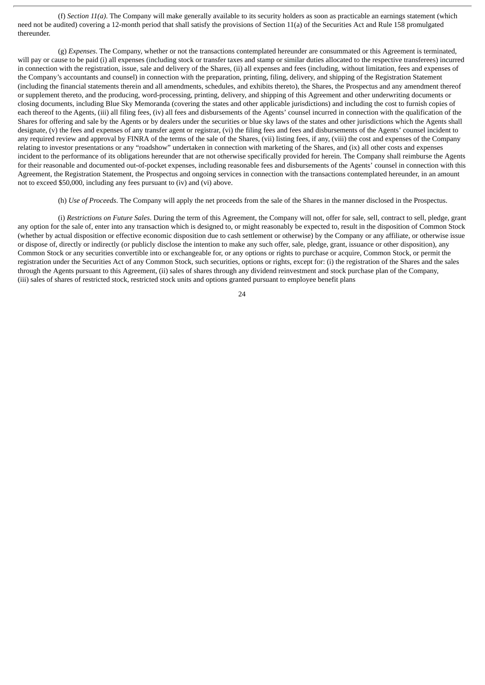(f) *Section 11(a)*. The Company will make generally available to its security holders as soon as practicable an earnings statement (which need not be audited) covering a 12-month period that shall satisfy the provisions of Section 11(a) of the Securities Act and Rule 158 promulgated thereunder.

(g) *Expenses*. The Company, whether or not the transactions contemplated hereunder are consummated or this Agreement is terminated, will pay or cause to be paid (i) all expenses (including stock or transfer taxes and stamp or similar duties allocated to the respective transferees) incurred in connection with the registration, issue, sale and delivery of the Shares, (ii) all expenses and fees (including, without limitation, fees and expenses of the Company's accountants and counsel) in connection with the preparation, printing, filing, delivery, and shipping of the Registration Statement (including the financial statements therein and all amendments, schedules, and exhibits thereto), the Shares, the Prospectus and any amendment thereof or supplement thereto, and the producing, word-processing, printing, delivery, and shipping of this Agreement and other underwriting documents or closing documents, including Blue Sky Memoranda (covering the states and other applicable jurisdictions) and including the cost to furnish copies of each thereof to the Agents, (iii) all filing fees, (iv) all fees and disbursements of the Agents' counsel incurred in connection with the qualification of the Shares for offering and sale by the Agents or by dealers under the securities or blue sky laws of the states and other jurisdictions which the Agents shall designate, (v) the fees and expenses of any transfer agent or registrar, (vi) the filing fees and fees and disbursements of the Agents' counsel incident to any required review and approval by FINRA of the terms of the sale of the Shares, (vii) listing fees, if any, (viii) the cost and expenses of the Company relating to investor presentations or any "roadshow" undertaken in connection with marketing of the Shares, and (ix) all other costs and expenses incident to the performance of its obligations hereunder that are not otherwise specifically provided for herein. The Company shall reimburse the Agents for their reasonable and documented out-of-pocket expenses, including reasonable fees and disbursements of the Agents' counsel in connection with this Agreement, the Registration Statement, the Prospectus and ongoing services in connection with the transactions contemplated hereunder, in an amount not to exceed \$50,000, including any fees pursuant to (iv) and (vi) above.

(h) *Use of Proceeds*. The Company will apply the net proceeds from the sale of the Shares in the manner disclosed in the Prospectus.

(i) *Restrictions on Future Sales*. During the term of this Agreement, the Company will not, offer for sale, sell, contract to sell, pledge, grant any option for the sale of, enter into any transaction which is designed to, or might reasonably be expected to, result in the disposition of Common Stock (whether by actual disposition or effective economic disposition due to cash settlement or otherwise) by the Company or any affiliate, or otherwise issue or dispose of, directly or indirectly (or publicly disclose the intention to make any such offer, sale, pledge, grant, issuance or other disposition), any Common Stock or any securities convertible into or exchangeable for, or any options or rights to purchase or acquire, Common Stock, or permit the registration under the Securities Act of any Common Stock, such securities, options or rights, except for: (i) the registration of the Shares and the sales through the Agents pursuant to this Agreement, (ii) sales of shares through any dividend reinvestment and stock purchase plan of the Company, (iii) sales of shares of restricted stock, restricted stock units and options granted pursuant to employee benefit plans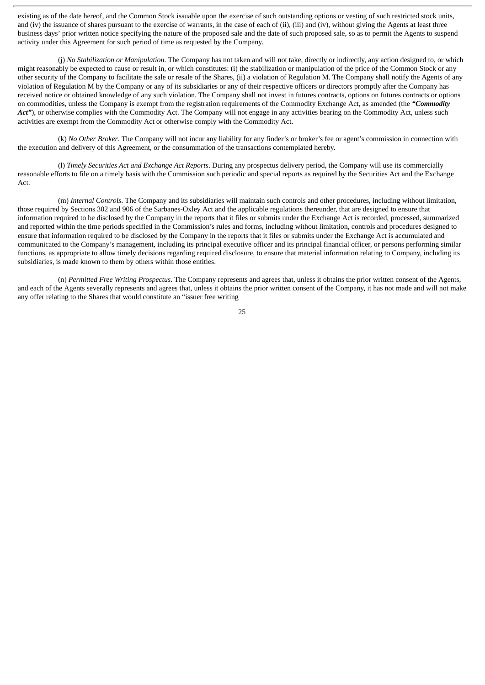existing as of the date hereof, and the Common Stock issuable upon the exercise of such outstanding options or vesting of such restricted stock units, and (iv) the issuance of shares pursuant to the exercise of warrants, in the case of each of (ii), (iii) and (iv), without giving the Agents at least three business days' prior written notice specifying the nature of the proposed sale and the date of such proposed sale, so as to permit the Agents to suspend activity under this Agreement for such period of time as requested by the Company.

(j) *No Stabilization or Manipulation*. The Company has not taken and will not take, directly or indirectly, any action designed to, or which might reasonably be expected to cause or result in, or which constitutes: (i) the stabilization or manipulation of the price of the Common Stock or any other security of the Company to facilitate the sale or resale of the Shares, (ii) a violation of Regulation M. The Company shall notify the Agents of any violation of Regulation M by the Company or any of its subsidiaries or any of their respective officers or directors promptly after the Company has received notice or obtained knowledge of any such violation. The Company shall not invest in futures contracts, options on futures contracts or options on commodities, unless the Company is exempt from the registration requirements of the Commodity Exchange Act, as amended (the *"Commodity* Act"), or otherwise complies with the Commodity Act. The Company will not engage in any activities bearing on the Commodity Act, unless such activities are exempt from the Commodity Act or otherwise comply with the Commodity Act.

(k) *No Other Broker*. The Company will not incur any liability for any finder's or broker's fee or agent's commission in connection with the execution and delivery of this Agreement, or the consummation of the transactions contemplated hereby.

(l) *Timely Securities Act and Exchange Act Reports*. During any prospectus delivery period, the Company will use its commercially reasonable efforts to file on a timely basis with the Commission such periodic and special reports as required by the Securities Act and the Exchange Act.

(m) *Internal Controls*. The Company and its subsidiaries will maintain such controls and other procedures, including without limitation, those required by Sections 302 and 906 of the Sarbanes-Oxley Act and the applicable regulations thereunder, that are designed to ensure that information required to be disclosed by the Company in the reports that it files or submits under the Exchange Act is recorded, processed, summarized and reported within the time periods specified in the Commission's rules and forms, including without limitation, controls and procedures designed to ensure that information required to be disclosed by the Company in the reports that it files or submits under the Exchange Act is accumulated and communicated to the Company's management, including its principal executive officer and its principal financial officer, or persons performing similar functions, as appropriate to allow timely decisions regarding required disclosure, to ensure that material information relating to Company, including its subsidiaries, is made known to them by others within those entities.

(n) *Permitted Free Writing Prospectus*. The Company represents and agrees that, unless it obtains the prior written consent of the Agents, and each of the Agents severally represents and agrees that, unless it obtains the prior written consent of the Company, it has not made and will not make any offer relating to the Shares that would constitute an "issuer free writing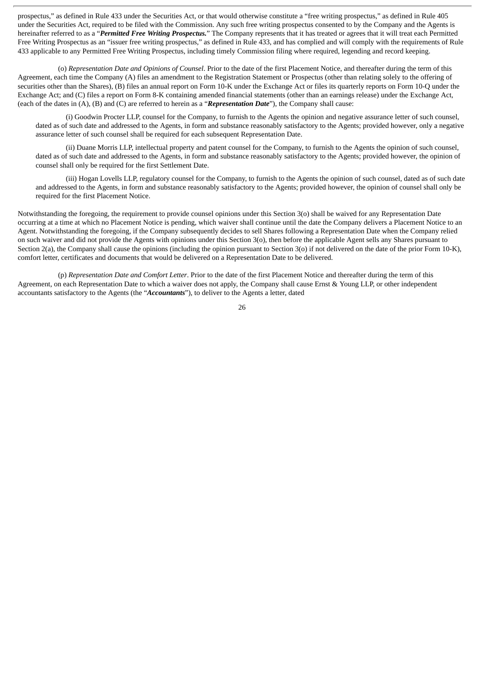prospectus," as defined in Rule 433 under the Securities Act, or that would otherwise constitute a "free writing prospectus," as defined in Rule 405 under the Securities Act, required to be filed with the Commission. Any such free writing prospectus consented to by the Company and the Agents is hereinafter referred to as a "*Permitted Free Writing Prospectus.*" The Company represents that it has treated or agrees that it will treat each Permitted Free Writing Prospectus as an "issuer free writing prospectus," as defined in Rule 433, and has complied and will comply with the requirements of Rule 433 applicable to any Permitted Free Writing Prospectus, including timely Commission filing where required, legending and record keeping.

(o) *Representation Date and Opinions of Counsel*. Prior to the date of the first Placement Notice, and thereafter during the term of this Agreement, each time the Company (A) files an amendment to the Registration Statement or Prospectus (other than relating solely to the offering of securities other than the Shares), (B) files an annual report on Form 10-K under the Exchange Act or files its quarterly reports on Form 10-Q under the Exchange Act; and (C) files a report on Form 8-K containing amended financial statements (other than an earnings release) under the Exchange Act, (each of the dates in (A), (B) and (C) are referred to herein as a "*Representation Date*"), the Company shall cause:

(i) Goodwin Procter LLP, counsel for the Company, to furnish to the Agents the opinion and negative assurance letter of such counsel, dated as of such date and addressed to the Agents, in form and substance reasonably satisfactory to the Agents; provided however, only a negative assurance letter of such counsel shall be required for each subsequent Representation Date.

(ii) Duane Morris LLP, intellectual property and patent counsel for the Company, to furnish to the Agents the opinion of such counsel, dated as of such date and addressed to the Agents, in form and substance reasonably satisfactory to the Agents; provided however, the opinion of counsel shall only be required for the first Settlement Date.

(iii) Hogan Lovells LLP, regulatory counsel for the Company, to furnish to the Agents the opinion of such counsel, dated as of such date and addressed to the Agents, in form and substance reasonably satisfactory to the Agents; provided however, the opinion of counsel shall only be required for the first Placement Notice.

Notwithstanding the foregoing, the requirement to provide counsel opinions under this Section 3(o) shall be waived for any Representation Date occurring at a time at which no Placement Notice is pending, which waiver shall continue until the date the Company delivers a Placement Notice to an Agent. Notwithstanding the foregoing, if the Company subsequently decides to sell Shares following a Representation Date when the Company relied on such waiver and did not provide the Agents with opinions under this Section 3(o), then before the applicable Agent sells any Shares pursuant to Section 2(a), the Company shall cause the opinions (including the opinion pursuant to Section 3(o) if not delivered on the date of the prior Form 10-K), comfort letter, certificates and documents that would be delivered on a Representation Date to be delivered.

(p) *Representation Date and Comfort Letter*. Prior to the date of the first Placement Notice and thereafter during the term of this Agreement, on each Representation Date to which a waiver does not apply, the Company shall cause Ernst & Young LLP, or other independent accountants satisfactory to the Agents (the "*Accountants*"), to deliver to the Agents a letter, dated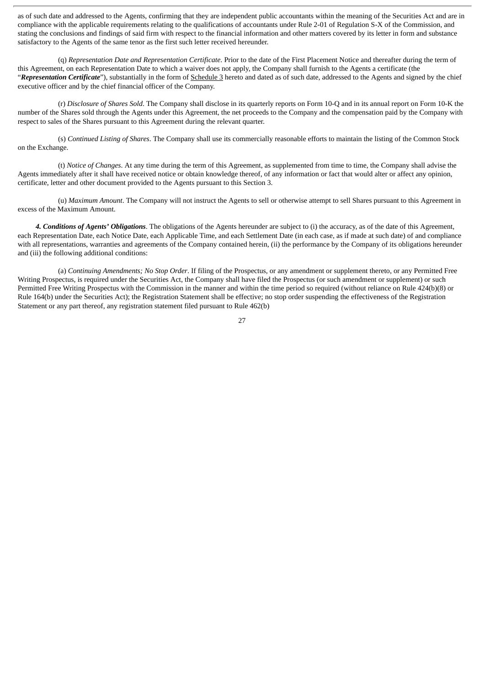as of such date and addressed to the Agents, confirming that they are independent public accountants within the meaning of the Securities Act and are in compliance with the applicable requirements relating to the qualifications of accountants under Rule 2-01 of Regulation S-X of the Commission, and stating the conclusions and findings of said firm with respect to the financial information and other matters covered by its letter in form and substance satisfactory to the Agents of the same tenor as the first such letter received hereunder.

(q) *Representation Date and Representation Certificate*. Prior to the date of the First Placement Notice and thereafter during the term of this Agreement, on each Representation Date to which a waiver does not apply, the Company shall furnish to the Agents a certificate (the "*Representation Certificate*"), substantially in the form of Schedule 3 hereto and dated as of such date, addressed to the Agents and signed by the chief executive officer and by the chief financial officer of the Company.

(r) *Disclosure of Shares Sold*. The Company shall disclose in its quarterly reports on Form 10-Q and in its annual report on Form 10-K the number of the Shares sold through the Agents under this Agreement, the net proceeds to the Company and the compensation paid by the Company with respect to sales of the Shares pursuant to this Agreement during the relevant quarter.

(s) *Continued Listing of Shares*. The Company shall use its commercially reasonable efforts to maintain the listing of the Common Stock on the Exchange.

(t) *Notice of Changes*. At any time during the term of this Agreement, as supplemented from time to time, the Company shall advise the Agents immediately after it shall have received notice or obtain knowledge thereof, of any information or fact that would alter or affect any opinion, certificate, letter and other document provided to the Agents pursuant to this Section 3.

(u) *Maximum Amount*. The Company will not instruct the Agents to sell or otherwise attempt to sell Shares pursuant to this Agreement in excess of the Maximum Amount.

*4. Conditions of Agents' Obligations*. The obligations of the Agents hereunder are subject to (i) the accuracy, as of the date of this Agreement, each Representation Date, each Notice Date, each Applicable Time, and each Settlement Date (in each case, as if made at such date) of and compliance with all representations, warranties and agreements of the Company contained herein, (ii) the performance by the Company of its obligations hereunder and (iii) the following additional conditions:

(a) *Continuing Amendments; No Stop Order*. If filing of the Prospectus, or any amendment or supplement thereto, or any Permitted Free Writing Prospectus, is required under the Securities Act, the Company shall have filed the Prospectus (or such amendment or supplement) or such Permitted Free Writing Prospectus with the Commission in the manner and within the time period so required (without reliance on Rule 424(b)(8) or Rule 164(b) under the Securities Act); the Registration Statement shall be effective; no stop order suspending the effectiveness of the Registration Statement or any part thereof, any registration statement filed pursuant to Rule 462(b)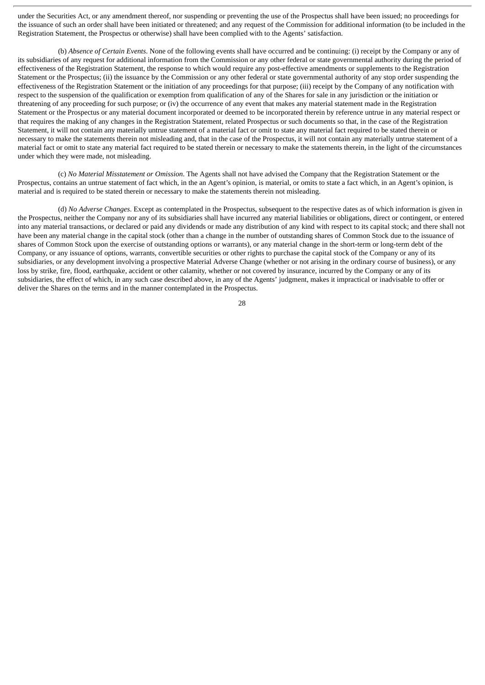under the Securities Act, or any amendment thereof, nor suspending or preventing the use of the Prospectus shall have been issued; no proceedings for the issuance of such an order shall have been initiated or threatened; and any request of the Commission for additional information (to be included in the Registration Statement, the Prospectus or otherwise) shall have been complied with to the Agents' satisfaction.

(b) *Absence of Certain Events*. None of the following events shall have occurred and be continuing: (i) receipt by the Company or any of its subsidiaries of any request for additional information from the Commission or any other federal or state governmental authority during the period of effectiveness of the Registration Statement, the response to which would require any post-effective amendments or supplements to the Registration Statement or the Prospectus; (ii) the issuance by the Commission or any other federal or state governmental authority of any stop order suspending the effectiveness of the Registration Statement or the initiation of any proceedings for that purpose; (iii) receipt by the Company of any notification with respect to the suspension of the qualification or exemption from qualification of any of the Shares for sale in any jurisdiction or the initiation or threatening of any proceeding for such purpose; or (iv) the occurrence of any event that makes any material statement made in the Registration Statement or the Prospectus or any material document incorporated or deemed to be incorporated therein by reference untrue in any material respect or that requires the making of any changes in the Registration Statement, related Prospectus or such documents so that, in the case of the Registration Statement, it will not contain any materially untrue statement of a material fact or omit to state any material fact required to be stated therein or necessary to make the statements therein not misleading and, that in the case of the Prospectus, it will not contain any materially untrue statement of a material fact or omit to state any material fact required to be stated therein or necessary to make the statements therein, in the light of the circumstances under which they were made, not misleading.

(c) *No Material Misstatement or Omission*. The Agents shall not have advised the Company that the Registration Statement or the Prospectus, contains an untrue statement of fact which, in the an Agent's opinion, is material, or omits to state a fact which, in an Agent's opinion, is material and is required to be stated therein or necessary to make the statements therein not misleading.

(d) *No Adverse Changes*. Except as contemplated in the Prospectus, subsequent to the respective dates as of which information is given in the Prospectus, neither the Company nor any of its subsidiaries shall have incurred any material liabilities or obligations, direct or contingent, or entered into any material transactions, or declared or paid any dividends or made any distribution of any kind with respect to its capital stock; and there shall not have been any material change in the capital stock (other than a change in the number of outstanding shares of Common Stock due to the issuance of shares of Common Stock upon the exercise of outstanding options or warrants), or any material change in the short-term or long-term debt of the Company, or any issuance of options, warrants, convertible securities or other rights to purchase the capital stock of the Company or any of its subsidiaries, or any development involving a prospective Material Adverse Change (whether or not arising in the ordinary course of business), or any loss by strike, fire, flood, earthquake, accident or other calamity, whether or not covered by insurance, incurred by the Company or any of its subsidiaries, the effect of which, in any such case described above, in any of the Agents' judgment, makes it impractical or inadvisable to offer or deliver the Shares on the terms and in the manner contemplated in the Prospectus.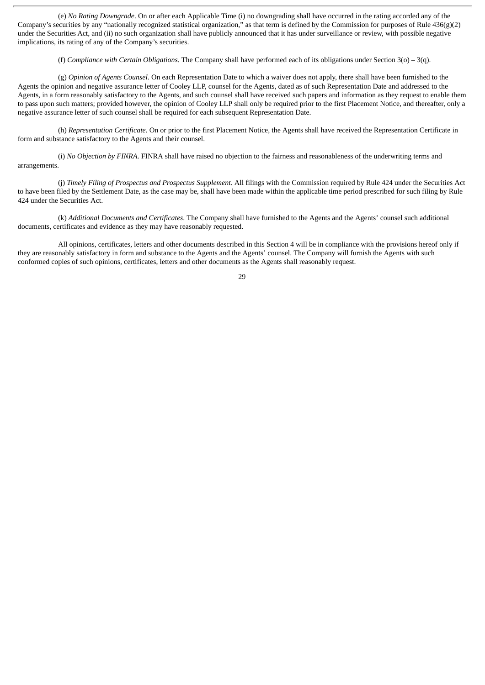(e) *No Rating Downgrade*. On or after each Applicable Time (i) no downgrading shall have occurred in the rating accorded any of the Company's securities by any "nationally recognized statistical organization," as that term is defined by the Commission for purposes of Rule  $436(g)(2)$ under the Securities Act, and (ii) no such organization shall have publicly announced that it has under surveillance or review, with possible negative implications, its rating of any of the Company's securities.

(f) *Compliance with Certain Obligations*. The Company shall have performed each of its obligations under Section 3(o) – 3(q).

(g) *Opinion of Agents Counsel*. On each Representation Date to which a waiver does not apply, there shall have been furnished to the Agents the opinion and negative assurance letter of Cooley LLP, counsel for the Agents, dated as of such Representation Date and addressed to the Agents, in a form reasonably satisfactory to the Agents, and such counsel shall have received such papers and information as they request to enable them to pass upon such matters; provided however, the opinion of Cooley LLP shall only be required prior to the first Placement Notice, and thereafter, only a negative assurance letter of such counsel shall be required for each subsequent Representation Date.

(h) *Representation Certificate*. On or prior to the first Placement Notice, the Agents shall have received the Representation Certificate in form and substance satisfactory to the Agents and their counsel.

(i) *No Objection by FINRA*. FINRA shall have raised no objection to the fairness and reasonableness of the underwriting terms and arrangements.

(j) *Timely Filing of Prospectus and Prospectus Supplement*. All filings with the Commission required by Rule 424 under the Securities Act to have been filed by the Settlement Date, as the case may be, shall have been made within the applicable time period prescribed for such filing by Rule 424 under the Securities Act.

(k) *Additional Documents and Certificates*. The Company shall have furnished to the Agents and the Agents' counsel such additional documents, certificates and evidence as they may have reasonably requested.

All opinions, certificates, letters and other documents described in this Section 4 will be in compliance with the provisions hereof only if they are reasonably satisfactory in form and substance to the Agents and the Agents' counsel. The Company will furnish the Agents with such conformed copies of such opinions, certificates, letters and other documents as the Agents shall reasonably request.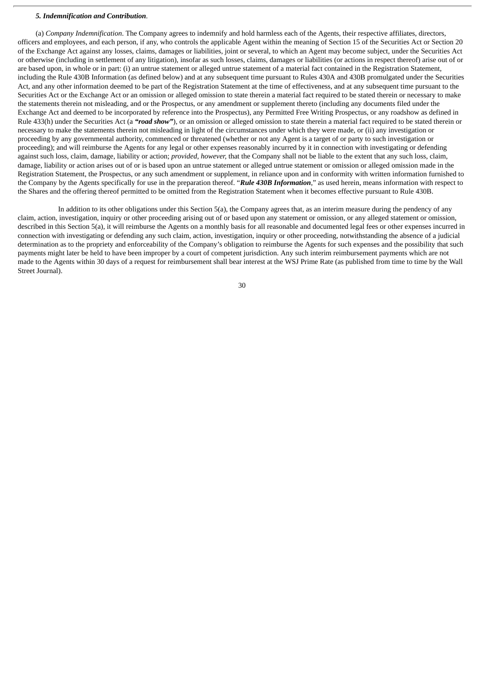### *5. Indemnification and Contribution*.

(a) *Company Indemnification*. The Company agrees to indemnify and hold harmless each of the Agents, their respective affiliates, directors, officers and employees, and each person, if any, who controls the applicable Agent within the meaning of Section 15 of the Securities Act or Section 20 of the Exchange Act against any losses, claims, damages or liabilities, joint or several, to which an Agent may become subject, under the Securities Act or otherwise (including in settlement of any litigation), insofar as such losses, claims, damages or liabilities (or actions in respect thereof) arise out of or are based upon, in whole or in part: (i) an untrue statement or alleged untrue statement of a material fact contained in the Registration Statement, including the Rule 430B Information (as defined below) and at any subsequent time pursuant to Rules 430A and 430B promulgated under the Securities Act, and any other information deemed to be part of the Registration Statement at the time of effectiveness, and at any subsequent time pursuant to the Securities Act or the Exchange Act or an omission or alleged omission to state therein a material fact required to be stated therein or necessary to make the statements therein not misleading, and or the Prospectus, or any amendment or supplement thereto (including any documents filed under the Exchange Act and deemed to be incorporated by reference into the Prospectus), any Permitted Free Writing Prospectus, or any roadshow as defined in Rule 433(h) under the Securities Act (a *"road show"*), or an omission or alleged omission to state therein a material fact required to be stated therein or necessary to make the statements therein not misleading in light of the circumstances under which they were made, or (ii) any investigation or proceeding by any governmental authority, commenced or threatened (whether or not any Agent is a target of or party to such investigation or proceeding); and will reimburse the Agents for any legal or other expenses reasonably incurred by it in connection with investigating or defending against such loss, claim, damage, liability or action; *provided, however,* that the Company shall not be liable to the extent that any such loss, claim, damage, liability or action arises out of or is based upon an untrue statement or alleged untrue statement or omission or alleged omission made in the Registration Statement, the Prospectus, or any such amendment or supplement, in reliance upon and in conformity with written information furnished to the Company by the Agents specifically for use in the preparation thereof. "*Rule 430B Information*," as used herein, means information with respect to the Shares and the offering thereof permitted to be omitted from the Registration Statement when it becomes effective pursuant to Rule 430B.

In addition to its other obligations under this Section 5(a), the Company agrees that, as an interim measure during the pendency of any claim, action, investigation, inquiry or other proceeding arising out of or based upon any statement or omission, or any alleged statement or omission, described in this Section 5(a), it will reimburse the Agents on a monthly basis for all reasonable and documented legal fees or other expenses incurred in connection with investigating or defending any such claim, action, investigation, inquiry or other proceeding, notwithstanding the absence of a judicial determination as to the propriety and enforceability of the Company's obligation to reimburse the Agents for such expenses and the possibility that such payments might later be held to have been improper by a court of competent jurisdiction. Any such interim reimbursement payments which are not made to the Agents within 30 days of a request for reimbursement shall bear interest at the WSJ Prime Rate (as published from time to time by the Wall Street Journal).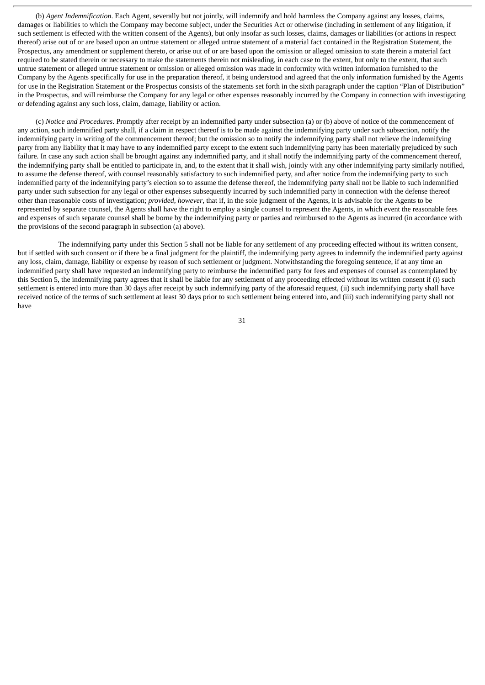(b) *Agent Indemnification*. Each Agent, severally but not jointly, will indemnify and hold harmless the Company against any losses, claims, damages or liabilities to which the Company may become subject, under the Securities Act or otherwise (including in settlement of any litigation, if such settlement is effected with the written consent of the Agents), but only insofar as such losses, claims, damages or liabilities (or actions in respect thereof) arise out of or are based upon an untrue statement or alleged untrue statement of a material fact contained in the Registration Statement, the Prospectus, any amendment or supplement thereto, or arise out of or are based upon the omission or alleged omission to state therein a material fact required to be stated therein or necessary to make the statements therein not misleading, in each case to the extent, but only to the extent, that such untrue statement or alleged untrue statement or omission or alleged omission was made in conformity with written information furnished to the Company by the Agents specifically for use in the preparation thereof, it being understood and agreed that the only information furnished by the Agents for use in the Registration Statement or the Prospectus consists of the statements set forth in the sixth paragraph under the caption "Plan of Distribution" in the Prospectus, and will reimburse the Company for any legal or other expenses reasonably incurred by the Company in connection with investigating or defending against any such loss, claim, damage, liability or action.

(c) *Notice and Procedures*. Promptly after receipt by an indemnified party under subsection (a) or (b) above of notice of the commencement of any action, such indemnified party shall, if a claim in respect thereof is to be made against the indemnifying party under such subsection, notify the indemnifying party in writing of the commencement thereof; but the omission so to notify the indemnifying party shall not relieve the indemnifying party from any liability that it may have to any indemnified party except to the extent such indemnifying party has been materially prejudiced by such failure. In case any such action shall be brought against any indemnified party, and it shall notify the indemnifying party of the commencement thereof, the indemnifying party shall be entitled to participate in, and, to the extent that it shall wish, jointly with any other indemnifying party similarly notified, to assume the defense thereof, with counsel reasonably satisfactory to such indemnified party, and after notice from the indemnifying party to such indemnified party of the indemnifying party's election so to assume the defense thereof, the indemnifying party shall not be liable to such indemnified party under such subsection for any legal or other expenses subsequently incurred by such indemnified party in connection with the defense thereof other than reasonable costs of investigation; *provided*, *however*, that if, in the sole judgment of the Agents, it is advisable for the Agents to be represented by separate counsel, the Agents shall have the right to employ a single counsel to represent the Agents, in which event the reasonable fees and expenses of such separate counsel shall be borne by the indemnifying party or parties and reimbursed to the Agents as incurred (in accordance with the provisions of the second paragraph in subsection (a) above).

The indemnifying party under this Section 5 shall not be liable for any settlement of any proceeding effected without its written consent, but if settled with such consent or if there be a final judgment for the plaintiff, the indemnifying party agrees to indemnify the indemnified party against any loss, claim, damage, liability or expense by reason of such settlement or judgment. Notwithstanding the foregoing sentence, if at any time an indemnified party shall have requested an indemnifying party to reimburse the indemnified party for fees and expenses of counsel as contemplated by this Section 5, the indemnifying party agrees that it shall be liable for any settlement of any proceeding effected without its written consent if (i) such settlement is entered into more than 30 days after receipt by such indemnifying party of the aforesaid request, (ii) such indemnifying party shall have received notice of the terms of such settlement at least 30 days prior to such settlement being entered into, and (iii) such indemnifying party shall not have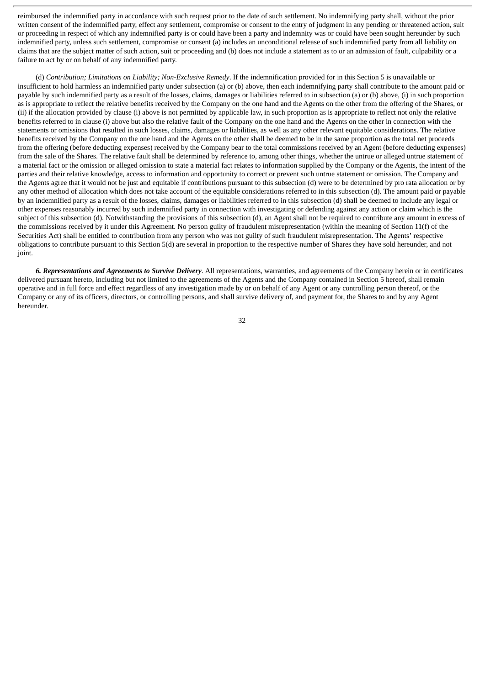reimbursed the indemnified party in accordance with such request prior to the date of such settlement. No indemnifying party shall, without the prior written consent of the indemnified party, effect any settlement, compromise or consent to the entry of judgment in any pending or threatened action, suit or proceeding in respect of which any indemnified party is or could have been a party and indemnity was or could have been sought hereunder by such indemnified party, unless such settlement, compromise or consent (a) includes an unconditional release of such indemnified party from all liability on claims that are the subject matter of such action, suit or proceeding and (b) does not include a statement as to or an admission of fault, culpability or a failure to act by or on behalf of any indemnified party.

(d) *Contribution; Limitations on Liability; Non-Exclusive Remedy*. If the indemnification provided for in this Section 5 is unavailable or insufficient to hold harmless an indemnified party under subsection (a) or (b) above, then each indemnifying party shall contribute to the amount paid or payable by such indemnified party as a result of the losses, claims, damages or liabilities referred to in subsection (a) or (b) above, (i) in such proportion as is appropriate to reflect the relative benefits received by the Company on the one hand and the Agents on the other from the offering of the Shares, or (ii) if the allocation provided by clause (i) above is not permitted by applicable law, in such proportion as is appropriate to reflect not only the relative benefits referred to in clause (i) above but also the relative fault of the Company on the one hand and the Agents on the other in connection with the statements or omissions that resulted in such losses, claims, damages or liabilities, as well as any other relevant equitable considerations. The relative benefits received by the Company on the one hand and the Agents on the other shall be deemed to be in the same proportion as the total net proceeds from the offering (before deducting expenses) received by the Company bear to the total commissions received by an Agent (before deducting expenses) from the sale of the Shares. The relative fault shall be determined by reference to, among other things, whether the untrue or alleged untrue statement of a material fact or the omission or alleged omission to state a material fact relates to information supplied by the Company or the Agents, the intent of the parties and their relative knowledge, access to information and opportunity to correct or prevent such untrue statement or omission. The Company and the Agents agree that it would not be just and equitable if contributions pursuant to this subsection (d) were to be determined by pro rata allocation or by any other method of allocation which does not take account of the equitable considerations referred to in this subsection (d). The amount paid or payable by an indemnified party as a result of the losses, claims, damages or liabilities referred to in this subsection (d) shall be deemed to include any legal or other expenses reasonably incurred by such indemnified party in connection with investigating or defending against any action or claim which is the subject of this subsection (d). Notwithstanding the provisions of this subsection (d), an Agent shall not be required to contribute any amount in excess of the commissions received by it under this Agreement. No person guilty of fraudulent misrepresentation (within the meaning of Section 11(f) of the Securities Act) shall be entitled to contribution from any person who was not guilty of such fraudulent misrepresentation. The Agents' respective obligations to contribute pursuant to this Section 5(d) are several in proportion to the respective number of Shares they have sold hereunder, and not joint.

*6. Representations and Agreements to Survive Delivery*. All representations, warranties, and agreements of the Company herein or in certificates delivered pursuant hereto, including but not limited to the agreements of the Agents and the Company contained in Section 5 hereof, shall remain operative and in full force and effect regardless of any investigation made by or on behalf of any Agent or any controlling person thereof, or the Company or any of its officers, directors, or controlling persons, and shall survive delivery of, and payment for, the Shares to and by any Agent hereunder.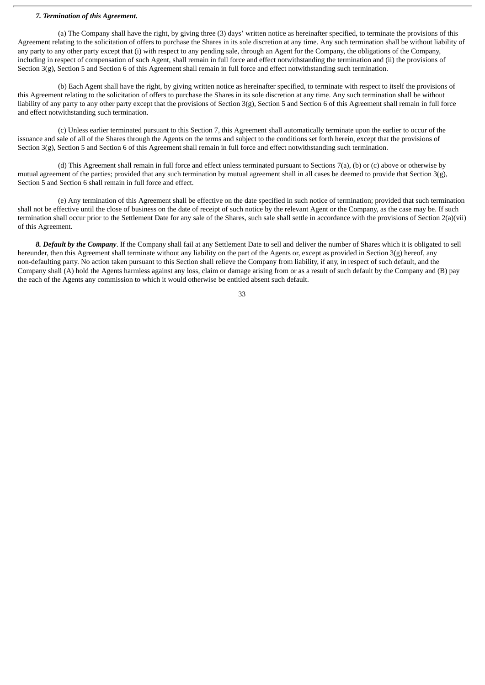### *7. Termination of this Agreement.*

(a) The Company shall have the right, by giving three (3) days' written notice as hereinafter specified, to terminate the provisions of this Agreement relating to the solicitation of offers to purchase the Shares in its sole discretion at any time. Any such termination shall be without liability of any party to any other party except that (i) with respect to any pending sale, through an Agent for the Company, the obligations of the Company, including in respect of compensation of such Agent, shall remain in full force and effect notwithstanding the termination and (ii) the provisions of Section 3(g), Section 5 and Section 6 of this Agreement shall remain in full force and effect notwithstanding such termination.

(b) Each Agent shall have the right, by giving written notice as hereinafter specified, to terminate with respect to itself the provisions of this Agreement relating to the solicitation of offers to purchase the Shares in its sole discretion at any time. Any such termination shall be without liability of any party to any other party except that the provisions of Section 3(g), Section 5 and Section 6 of this Agreement shall remain in full force and effect notwithstanding such termination.

(c) Unless earlier terminated pursuant to this Section 7, this Agreement shall automatically terminate upon the earlier to occur of the issuance and sale of all of the Shares through the Agents on the terms and subject to the conditions set forth herein, except that the provisions of Section 3(g), Section 5 and Section 6 of this Agreement shall remain in full force and effect notwithstanding such termination.

(d) This Agreement shall remain in full force and effect unless terminated pursuant to Sections 7(a), (b) or (c) above or otherwise by mutual agreement of the parties; provided that any such termination by mutual agreement shall in all cases be deemed to provide that Section 3(g), Section 5 and Section 6 shall remain in full force and effect.

(e) Any termination of this Agreement shall be effective on the date specified in such notice of termination; provided that such termination shall not be effective until the close of business on the date of receipt of such notice by the relevant Agent or the Company, as the case may be. If such termination shall occur prior to the Settlement Date for any sale of the Shares, such sale shall settle in accordance with the provisions of Section 2(a)(vii) of this Agreement.

*8. Default by the Company*. If the Company shall fail at any Settlement Date to sell and deliver the number of Shares which it is obligated to sell hereunder, then this Agreement shall terminate without any liability on the part of the Agents or, except as provided in Section 3(g) hereof, any non-defaulting party. No action taken pursuant to this Section shall relieve the Company from liability, if any, in respect of such default, and the Company shall (A) hold the Agents harmless against any loss, claim or damage arising from or as a result of such default by the Company and (B) pay the each of the Agents any commission to which it would otherwise be entitled absent such default.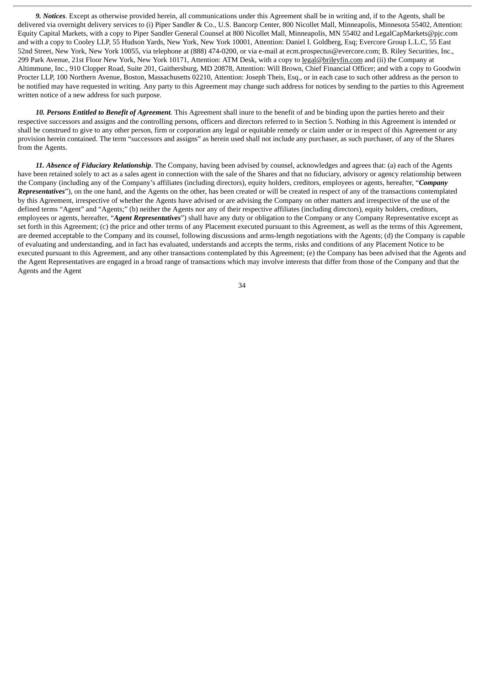*9. Notices*. Except as otherwise provided herein, all communications under this Agreement shall be in writing and, if to the Agents, shall be delivered via overnight delivery services to (i) Piper Sandler & Co., U.S. Bancorp Center, 800 Nicollet Mall, Minneapolis, Minnesota 55402, Attention: Equity Capital Markets, with a copy to Piper Sandler General Counsel at 800 Nicollet Mall, Minneapolis, MN 55402 and LegalCapMarkets@pjc.com and with a copy to Cooley LLP, 55 Hudson Yards, New York, New York 10001, Attention: Daniel I. Goldberg, Esq; Evercore Group L.L.C, 55 East 52nd Street, New York, New York 10055, via telephone at (888) 474-0200, or via e-mail at ecm.prospectus@evercore.com; B. Riley Securities, Inc., 299 Park Avenue, 21st Floor New York, New York 10171, Attention: ATM Desk, with a copy to legal@brileyfin.com and (ii) the Company at Altimmune, Inc., 910 Clopper Road, Suite 201, Gaithersburg, MD 20878, Attention: Will Brown, Chief Financial Officer; and with a copy to Goodwin Procter LLP, 100 Northern Avenue, Boston, Massachusetts 02210, Attention: Joseph Theis, Esq., or in each case to such other address as the person to be notified may have requested in writing. Any party to this Agreement may change such address for notices by sending to the parties to this Agreement written notice of a new address for such purpose.

*10. Persons Entitled to Benefit of Agreement*. This Agreement shall inure to the benefit of and be binding upon the parties hereto and their respective successors and assigns and the controlling persons, officers and directors referred to in Section 5. Nothing in this Agreement is intended or shall be construed to give to any other person, firm or corporation any legal or equitable remedy or claim under or in respect of this Agreement or any provision herein contained. The term "successors and assigns" as herein used shall not include any purchaser, as such purchaser, of any of the Shares from the Agents.

*11. Absence of Fiduciary Relationship*. The Company, having been advised by counsel, acknowledges and agrees that: (a) each of the Agents have been retained solely to act as a sales agent in connection with the sale of the Shares and that no fiduciary, advisory or agency relationship between the Company (including any of the Company's affiliates (including directors), equity holders, creditors, employees or agents, hereafter, "*Company Representatives*"), on the one hand, and the Agents on the other, has been created or will be created in respect of any of the transactions contemplated by this Agreement, irrespective of whether the Agents have advised or are advising the Company on other matters and irrespective of the use of the defined terms "Agent" and "Agents;" (b) neither the Agents nor any of their respective affiliates (including directors), equity holders, creditors, employees or agents, hereafter, "*Agent Representatives*") shall have any duty or obligation to the Company or any Company Representative except as set forth in this Agreement; (c) the price and other terms of any Placement executed pursuant to this Agreement, as well as the terms of this Agreement, are deemed acceptable to the Company and its counsel, following discussions and arms-length negotiations with the Agents; (d) the Company is capable of evaluating and understanding, and in fact has evaluated, understands and accepts the terms, risks and conditions of any Placement Notice to be executed pursuant to this Agreement, and any other transactions contemplated by this Agreement; (e) the Company has been advised that the Agents and the Agent Representatives are engaged in a broad range of transactions which may involve interests that differ from those of the Company and that the Agents and the Agent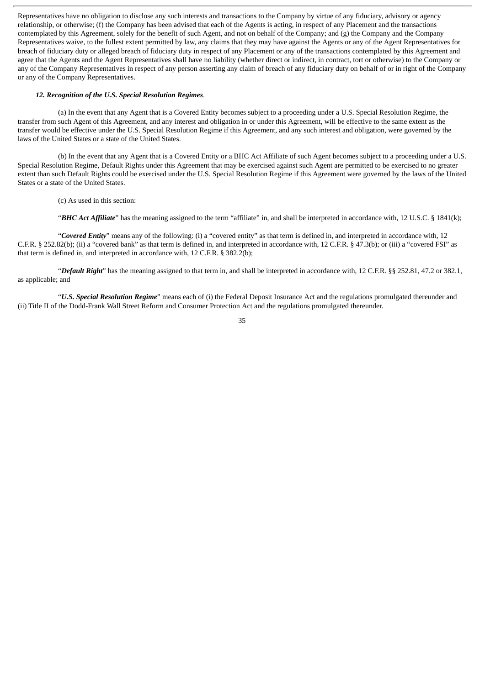Representatives have no obligation to disclose any such interests and transactions to the Company by virtue of any fiduciary, advisory or agency relationship, or otherwise; (f) the Company has been advised that each of the Agents is acting, in respect of any Placement and the transactions contemplated by this Agreement, solely for the benefit of such Agent, and not on behalf of the Company; and (g) the Company and the Company Representatives waive, to the fullest extent permitted by law, any claims that they may have against the Agents or any of the Agent Representatives for breach of fiduciary duty or alleged breach of fiduciary duty in respect of any Placement or any of the transactions contemplated by this Agreement and agree that the Agents and the Agent Representatives shall have no liability (whether direct or indirect, in contract, tort or otherwise) to the Company or any of the Company Representatives in respect of any person asserting any claim of breach of any fiduciary duty on behalf of or in right of the Company or any of the Company Representatives.

#### *12. Recognition of the U.S. Special Resolution Regimes*.

(a) In the event that any Agent that is a Covered Entity becomes subject to a proceeding under a U.S. Special Resolution Regime, the transfer from such Agent of this Agreement, and any interest and obligation in or under this Agreement, will be effective to the same extent as the transfer would be effective under the U.S. Special Resolution Regime if this Agreement, and any such interest and obligation, were governed by the laws of the United States or a state of the United States.

(b) In the event that any Agent that is a Covered Entity or a BHC Act Affiliate of such Agent becomes subject to a proceeding under a U.S. Special Resolution Regime, Default Rights under this Agreement that may be exercised against such Agent are permitted to be exercised to no greater extent than such Default Rights could be exercised under the U.S. Special Resolution Regime if this Agreement were governed by the laws of the United States or a state of the United States.

(c) As used in this section:

"*BHC Act Affiliate*" has the meaning assigned to the term "affiliate" in, and shall be interpreted in accordance with, 12 U.S.C. § 1841(k);

"*Covered Entity*" means any of the following: (i) a "covered entity" as that term is defined in, and interpreted in accordance with, 12 C.F.R. § 252.82(b); (ii) a "covered bank" as that term is defined in, and interpreted in accordance with, 12 C.F.R. § 47.3(b); or (iii) a "covered FSI" as that term is defined in, and interpreted in accordance with, 12 C.F.R. § 382.2(b);

"*Default Right*" has the meaning assigned to that term in, and shall be interpreted in accordance with, 12 C.F.R. §§ 252.81, 47.2 or 382.1, as applicable; and

"*U.S. Special Resolution Regime*" means each of (i) the Federal Deposit Insurance Act and the regulations promulgated thereunder and (ii) Title II of the Dodd-Frank Wall Street Reform and Consumer Protection Act and the regulations promulgated thereunder.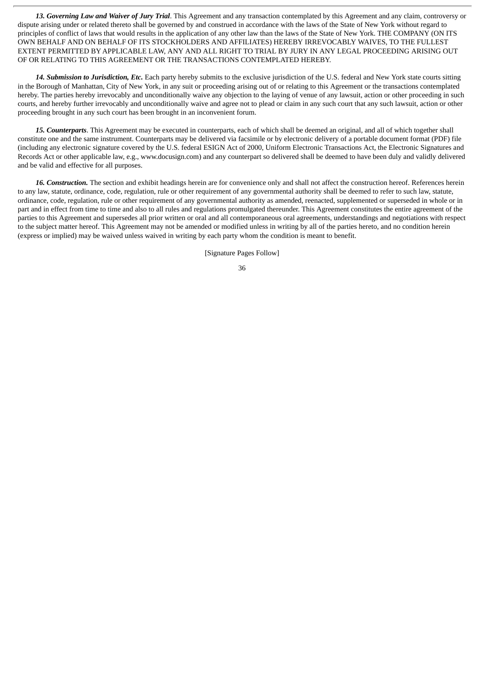*13. Governing Law and Waiver of Jury Trial*. This Agreement and any transaction contemplated by this Agreement and any claim, controversy or dispute arising under or related thereto shall be governed by and construed in accordance with the laws of the State of New York without regard to principles of conflict of laws that would results in the application of any other law than the laws of the State of New York. THE COMPANY (ON ITS OWN BEHALF AND ON BEHALF OF ITS STOCKHOLDERS AND AFFILIATES) HEREBY IRREVOCABLY WAIVES, TO THE FULLEST EXTENT PERMITTED BY APPLICABLE LAW, ANY AND ALL RIGHT TO TRIAL BY JURY IN ANY LEGAL PROCEEDING ARISING OUT OF OR RELATING TO THIS AGREEMENT OR THE TRANSACTIONS CONTEMPLATED HEREBY.

*14. Submission to Jurisdiction, Etc.* Each party hereby submits to the exclusive jurisdiction of the U.S. federal and New York state courts sitting in the Borough of Manhattan, City of New York, in any suit or proceeding arising out of or relating to this Agreement or the transactions contemplated hereby. The parties hereby irrevocably and unconditionally waive any objection to the laying of venue of any lawsuit, action or other proceeding in such courts, and hereby further irrevocably and unconditionally waive and agree not to plead or claim in any such court that any such lawsuit, action or other proceeding brought in any such court has been brought in an inconvenient forum.

*15. Counterparts*. This Agreement may be executed in counterparts, each of which shall be deemed an original, and all of which together shall constitute one and the same instrument. Counterparts may be delivered via facsimile or by electronic delivery of a portable document format (PDF) file (including any electronic signature covered by the U.S. federal ESIGN Act of 2000, Uniform Electronic Transactions Act, the Electronic Signatures and Records Act or other applicable law, e.g., www.docusign.com) and any counterpart so delivered shall be deemed to have been duly and validly delivered and be valid and effective for all purposes.

*16. Construction.* The section and exhibit headings herein are for convenience only and shall not affect the construction hereof. References herein to any law, statute, ordinance, code, regulation, rule or other requirement of any governmental authority shall be deemed to refer to such law, statute, ordinance, code, regulation, rule or other requirement of any governmental authority as amended, reenacted, supplemented or superseded in whole or in part and in effect from time to time and also to all rules and regulations promulgated thereunder. This Agreement constitutes the entire agreement of the parties to this Agreement and supersedes all prior written or oral and all contemporaneous oral agreements, understandings and negotiations with respect to the subject matter hereof. This Agreement may not be amended or modified unless in writing by all of the parties hereto, and no condition herein (express or implied) may be waived unless waived in writing by each party whom the condition is meant to benefit.

[Signature Pages Follow]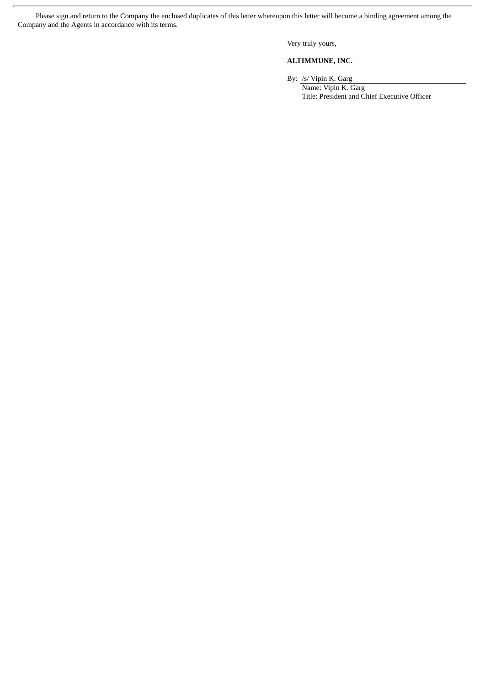Please sign and return to the Company the enclosed duplicates of this letter whereupon this letter will become a binding agreement among the Company and the Agents in accordance with its terms.

Very truly yours,

# **ALTIMMUNE, INC.**

By: /s/ Vipin K. Garg Name: Vipin K. Garg

Title: President and Chief Executive Officer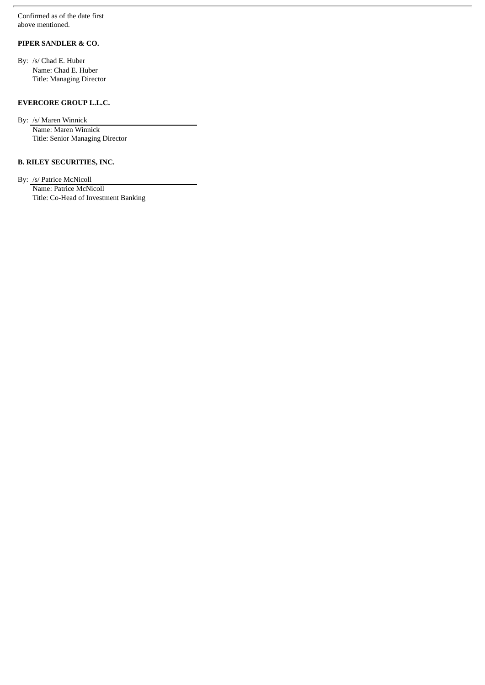Confirmed as of the date first above mentioned.

# **PIPER SANDLER & CO.**

By: /s/ Chad E. Huber Name: Chad E. Huber Title: Managing Director

# **EVERCORE GROUP L.L.C.**

By: /s/ Maren Winnick Name: Maren Winnick Title: Senior Managing Director

# **B. RILEY SECURITIES, INC.**

By: /s/ Patrice McNicoll

Name: Patrice McNicoll Title: Co-Head of Investment Banking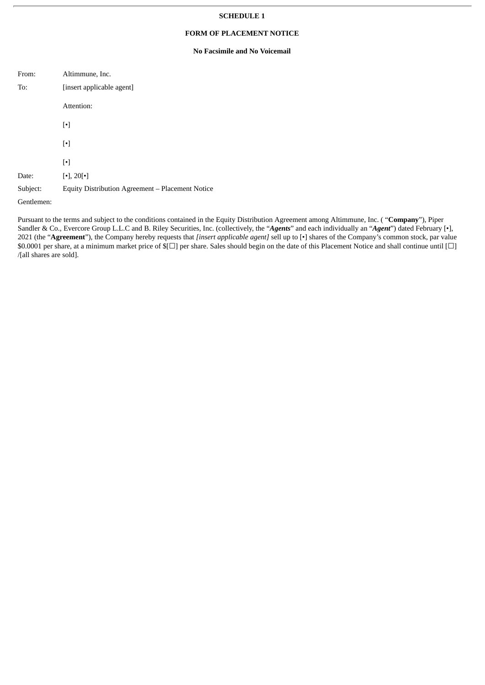#### **SCHEDULE 1**

# **FORM OF PLACEMENT NOTICE**

# **No Facsimile and No Voicemail**

| From:      | Altimmune, Inc.                                  |  |
|------------|--------------------------------------------------|--|
| To:        | [insert applicable agent]                        |  |
|            | Attention:                                       |  |
|            | $[\cdot]$                                        |  |
|            | $\lceil \cdot \rceil$                            |  |
|            | $\lceil \cdot \rceil$                            |  |
| Date:      | $\lceil \cdot \rceil$ , 20 $\lceil \cdot \rceil$ |  |
| Subject:   | Equity Distribution Agreement - Placement Notice |  |
| Gentlemen: |                                                  |  |

Pursuant to the terms and subject to the conditions contained in the Equity Distribution Agreement among Altimmune, Inc. ( "**Company**"), Piper Sandler & Co., Evercore Group L.L.C and B. Riley Securities, Inc. (collectively, the "*Agents*" and each individually an "*Agent*") dated February [•], 2021 (the "**Agreement**"), the Company hereby requests that *[insert applicable agent]* sell up to [•] shares of the Company's common stock, par value  $$0.0001$  per share, at a minimum market price of  $$[□]$  per share. Sales should begin on the date of this Placement Notice and shall continue until  $[□]$ /[all shares are sold].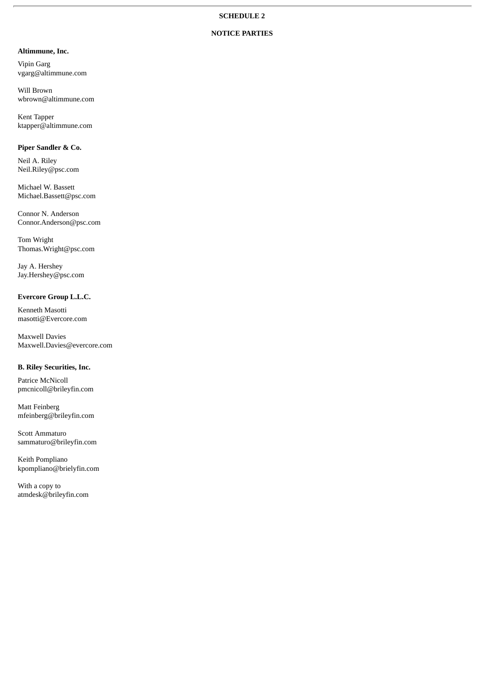# **NOTICE PARTIES**

# **Altimmune, Inc.**

Vipin Garg vgarg@altimmune.com

Will Brown wbrown@altimmune.com

Kent Tapper ktapper@altimmune.com

# **Piper Sandler & Co.**

Neil A. Riley Neil.Riley@psc.com

Michael W. Bassett Michael.Bassett@psc.com

Connor N. Anderson Connor.Anderson@psc.com

Tom Wright Thomas.Wright@psc.com

Jay A. Hershey Jay.Hershey@psc.com

## **Evercore Group L.L.C.**

Kenneth Masotti masotti@Evercore.com

Maxwell Davies Maxwell.Davies@evercore.com

# **B. Riley Securities, Inc.**

Patrice McNicoll pmcnicoll@brileyfin.com

Matt Feinberg mfeinberg@brileyfin.com

Scott Ammaturo sammaturo@brileyfin.com

Keith Pompliano kpompliano@brielyfin.com

With a copy to atmdesk@brileyfin.com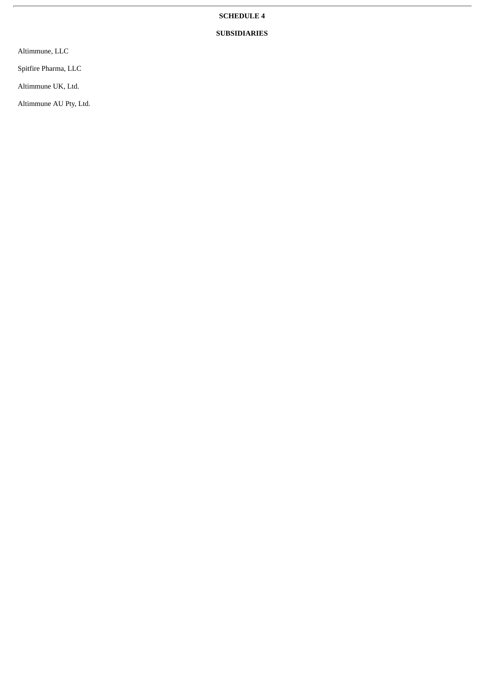# **SCHEDULE 4**

# **SUBSIDIARIES**

Altimmune, LLC

Spitfire Pharma, LLC

Altimmune UK, Ltd.

Altimmune AU Pty, Ltd.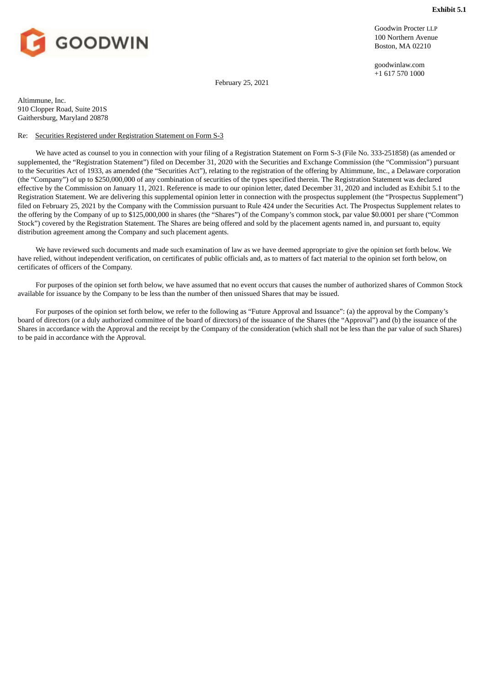<span id="page-44-0"></span>

Goodwin Procter LLP 100 Northern Avenue Boston, MA 02210

goodwinlaw.com +1 617 570 1000

February 25, 2021

Altimmune, Inc. 910 Clopper Road, Suite 201S Gaithersburg, Maryland 20878

### Re: Securities Registered under Registration Statement on Form S-3

We have acted as counsel to you in connection with your filing of a Registration Statement on Form S-3 (File No. 333-251858) (as amended or supplemented, the "Registration Statement") filed on December 31, 2020 with the Securities and Exchange Commission (the "Commission") pursuant to the Securities Act of 1933, as amended (the "Securities Act"), relating to the registration of the offering by Altimmune, Inc., a Delaware corporation (the "Company") of up to \$250,000,000 of any combination of securities of the types specified therein. The Registration Statement was declared effective by the Commission on January 11, 2021. Reference is made to our opinion letter, dated December 31, 2020 and included as Exhibit 5.1 to the Registration Statement. We are delivering this supplemental opinion letter in connection with the prospectus supplement (the "Prospectus Supplement") filed on February 25, 2021 by the Company with the Commission pursuant to Rule 424 under the Securities Act. The Prospectus Supplement relates to the offering by the Company of up to \$125,000,000 in shares (the "Shares") of the Company's common stock, par value \$0.0001 per share ("Common Stock") covered by the Registration Statement. The Shares are being offered and sold by the placement agents named in, and pursuant to, equity distribution agreement among the Company and such placement agents.

We have reviewed such documents and made such examination of law as we have deemed appropriate to give the opinion set forth below. We have relied, without independent verification, on certificates of public officials and, as to matters of fact material to the opinion set forth below, on certificates of officers of the Company.

For purposes of the opinion set forth below, we have assumed that no event occurs that causes the number of authorized shares of Common Stock available for issuance by the Company to be less than the number of then unissued Shares that may be issued.

For purposes of the opinion set forth below, we refer to the following as "Future Approval and Issuance": (a) the approval by the Company's board of directors (or a duly authorized committee of the board of directors) of the issuance of the Shares (the "Approval") and (b) the issuance of the Shares in accordance with the Approval and the receipt by the Company of the consideration (which shall not be less than the par value of such Shares) to be paid in accordance with the Approval.